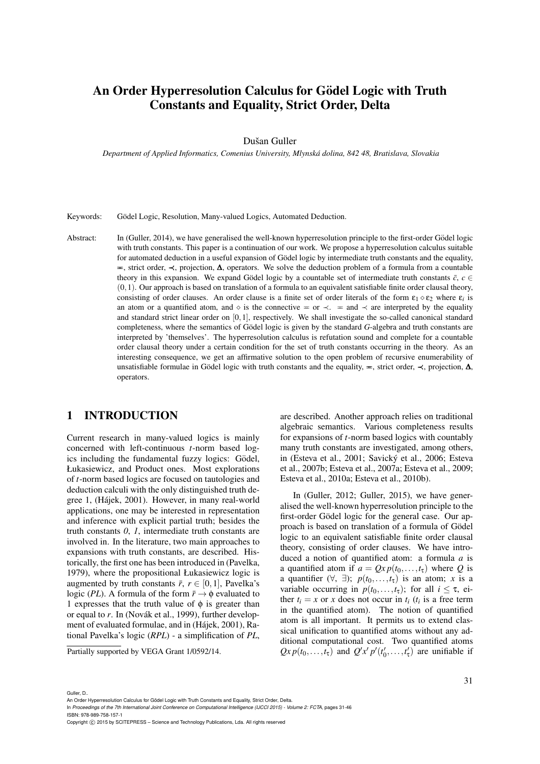# An Order Hyperresolution Calculus for Gödel Logic with Truth Constants and Equality, Strict Order, Delta

### Dušan Guller

*Department of Applied Informatics, Comenius University, Mlynska dolina, 842 48, Bratislava, Slovakia ´*

Keywords: Gödel Logic, Resolution, Many-valued Logics, Automated Deduction.

Abstract: In (Guller, 2014), we have generalised the well-known hyperresolution principle to the first-order Gödel logic with truth constants. This paper is a continuation of our work. We propose a hyperresolution calculus suitable for automated deduction in a useful expansion of Gödel logic by intermediate truth constants and the equality,  $\equiv$ , strict order,  $\prec$ , projection,  $\Delta$ , operators. We solve the deduction problem of a formula from a countable theory in this expansion. We expand Gödel logic by a countable set of intermediate truth constants  $\bar{c}$ ,  $c \in$  $(0,1)$ . Our approach is based on translation of a formula to an equivalent satisfiable finite order clausal theory, consisting of order clauses. An order clause is a finite set of order literals of the form  $\epsilon_1 \diamond \epsilon_2$  where  $\epsilon_i$  is an atom or a quantified atom, and  $\circ$  is the connective = or  $\prec$ . = and  $\prec$  are interpreted by the equality and standard strict linear order on [0,1], respectively. We shall investigate the so-called canonical standard completeness, where the semantics of Godel logic is given by the standard G-algebra and truth constants are interpreted by 'themselves'. The hyperresolution calculus is refutation sound and complete for a countable order clausal theory under a certain condition for the set of truth constants occurring in the theory. As an interesting consequence, we get an affirmative solution to the open problem of recursive enumerability of unsatisfiable formulae in Gödel logic with truth constants and the equality,  $\equiv$ , strict order,  $\prec$ , projection,  $\Delta$ , operators.

### 1 INTRODUCTION

Current research in many-valued logics is mainly concerned with left-continuous *t*-norm based logics including the fundamental fuzzy logics: Gödel, Łukasiewicz, and Product ones. Most explorations of *t*-norm based logics are focused on tautologies and deduction calculi with the only distinguished truth degree 1, (Hajek, 2001). However, in many real-world ´ applications, one may be interested in representation and inference with explicit partial truth; besides the truth constants *0*, *1*, intermediate truth constants are involved in. In the literature, two main approaches to expansions with truth constants, are described. Historically, the first one has been introduced in (Pavelka, 1979), where the propositional Łukasiewicz logic is augmented by truth constants  $\bar{r}$ ,  $r \in [0,1]$ , Pavelka's logic (*PL*). A formula of the form  $\bar{r} \rightarrow \phi$  evaluated to 1 expresses that the truth value of  $\phi$  is greater than or equal to *r*. In (Novák et al., 1999), further development of evaluated formulae, and in (Hájek, 2001), Rational Pavelka's logic (*RPL*) - a simplification of *PL*,

Partially supported by VEGA Grant 1/0592/14.

are described. Another approach relies on traditional algebraic semantics. Various completeness results for expansions of *t*-norm based logics with countably many truth constants are investigated, among others, in (Esteva et al., 2001; Savický et al., 2006; Esteva et al., 2007b; Esteva et al., 2007a; Esteva et al., 2009; Esteva et al., 2010a; Esteva et al., 2010b).

In (Guller, 2012; Guller, 2015), we have generalised the well-known hyperresolution principle to the first-order Gödel logic for the general case. Our approach is based on translation of a formula of Gödel logic to an equivalent satisfiable finite order clausal theory, consisting of order clauses. We have introduced a notion of quantified atom: a formula *a* is a quantified atom if  $a = Qx p(t_0,...,t_{\tau})$  where Q is a quantifier  $(\forall, \exists)$ ;  $p(t_0, \ldots, t_{\tau})$  is an atom; *x* is a variable occurring in  $p(t_0,...,t_{\tau})$ ; for all  $i \leq \tau$ , either  $t_i = x$  or *x* does not occur in  $t_i$  ( $t_i$  is a free term in the quantified atom). The notion of quantified atom is all important. It permits us to extend classical unification to quantified atoms without any additional computational cost. Two quantified atoms  $Qx p(t_0,...,t_{\tau})$  and  $Q'x' p'(t'_0,...,t'_{\tau})$  are unifiable if

#### Guller, D..

An Order Hyperresolution Calculus for Gödel Logic with Truth Constants and Equality, Strict Order, Delta.

In *Proceedings of the 7th International Joint Conference on Computational Intelligence (IJCCI 2015) - Volume 2: FCTA*, pages 31-46 ISBN: 978-989-758-157-1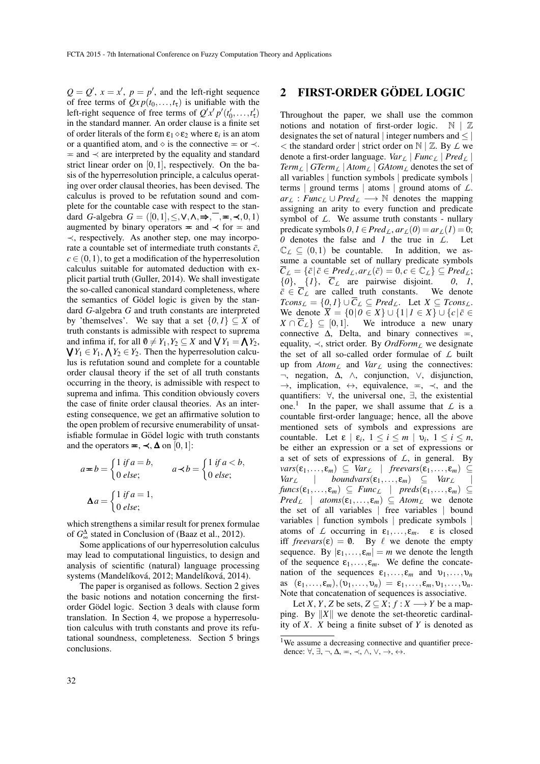$Q = Q'$ ,  $x = x'$ ,  $p = p'$ , and the left-right sequence of free terms of  $Qx p(t_0,...,t_{\tau})$  is unifiable with the left-right sequence of free terms of  $Q'x'p'(t'_0,...,t'_{\tau})$ in the standard manner. An order clause is a finite set of order literals of the form  $\varepsilon_1 \diamond \varepsilon_2$  where  $\varepsilon_i$  is an atom or a quantified atom, and  $\Diamond$  is the connective = or  $\prec$ .  $=$  and  $\prec$  are interpreted by the equality and standard strict linear order on [0,1], respectively. On the basis of the hyperresolution principle, a calculus operating over order clausal theories, has been devised. The calculus is proved to be refutation sound and complete for the countable case with respect to the standard *G*-algebra  $G = ([0,1], \leq, \vee, \wedge, \Rightarrow, \neg, \neg, \neg, \prec, 0, 1)$ augmented by binary operators  $\equiv$  and  $\prec$  for  $\equiv$  and ≺, respectively. As another step, one may incorporate a countable set of intermediate truth constants  $\bar{c}$ ,  $c \in (0,1)$ , to get a modification of the hyperresolution calculus suitable for automated deduction with explicit partial truth (Guller, 2014). We shall investigate the so-called canonical standard completeness, where the semantics of Gödel logic is given by the standard *G*-algebra *G* and truth constants are interpreted by 'themselves'. We say that a set  $\{0,1\} \subseteq X$  of truth constants is admissible with respect to suprema and infima if, for all  $\emptyset \neq Y_1, Y_2 \subseteq X$  and  $\bigvee Y_1 = \bigwedge Y_2$ ,  $\bigvee Y_1 \in Y_1$ ,  $\bigwedge Y_2 \in Y_2$ . Then the hyperresolution calcu- $Y_1 \in Y_1$ ,  $\bigwedge Y_2 \in Y_2$ . Then the hyperresolution calculus is refutation sound and complete for a countable order clausal theory if the set of all truth constants occurring in the theory, is admissible with respect to suprema and infima. This condition obviously covers the case of finite order clausal theories. As an interesting consequence, we get an affirmative solution to the open problem of recursive enumerability of unsatisfiable formulae in Gödel logic with truth constants and the operators  $=$ ,  $\prec$ ,  $\Delta$  on [0,1]:

$$
a = b = \begin{cases} 1 & \text{if } a = b, \\ 0 & \text{else;} \end{cases} \qquad a \prec b = \begin{cases} 1 & \text{if } a < b, \\ 0 & \text{else;} \end{cases}
$$

$$
\Delta a = \begin{cases} 1 & \text{if } a = 1, \\ 0 & \text{else;} \end{cases}
$$

which strengthens a similar result for prenex formulae of *G* ∆ <sup>∞</sup> stated in Conclusion of (Baaz et al., 2012).

Some applications of our hyperresolution calculus may lead to computational linguistics, to design and analysis of scientific (natural) language processing systems (Mandelíková, 2012; Mandelíková, 2014).

The paper is organised as follows. Section 2 gives the basic notions and notation concerning the firstorder Gödel logic. Section 3 deals with clause form translation. In Section 4, we propose a hyperresolution calculus with truth constants and prove its refutational soundness, completeness. Section 5 brings conclusions.

### 2 FIRST-ORDER GÖDEL LOGIC

Throughout the paper, we shall use the common notions and notation of first-order logic.  $\mathbb{N} \mid \mathbb{Z}$ designates the set of natural | integer numbers and  $\leq$  |  $\lt$  the standard order | strict order on  $\mathbb{N}$  |  $\mathbb{Z}$ . By  $\mathcal{L}$  we denote a first-order language. *Var<sup>L</sup>* | *Func<sup>L</sup>* | *Pred<sup>L</sup>* |  $Term_{\ell}$  |  $GTerm_{\ell}$  |  $Atom_{\ell}$  |  $GAtom_{\ell}$  denotes the set of all variables | function symbols | predicate symbols | terms | ground terms | atoms | ground atoms of *L*.  $ar_L$ : *Func*<sub>L</sub> ∪ *Pred*<sub>L</sub> → N denotes the mapping assigning an arity to every function and predicate symbol of *L*. We assume truth constants - nullary predicate symbols  $0, I \in Pred_L$ ,  $ar_L(0) = ar_L(1) = 0$ ; *0* denotes the false and *1* the true in *L*. Let  $\mathbb{C}_L \subseteq (0,1)$  be countable. In addition, we assume a countable set of nullary predicate symbols  $\overline{C}_L = \{\overline{c} \mid \overline{c} \in Pred_L, ar_L(\overline{c}) = 0, c \in \mathbb{C}_L\} \subseteq Pred_L;$ <br>{0}, {1},  $\overline{C}_L$  are pairwise disjoint. 0, 1,  ${\overline{c}}$  ${\overline{c}}$  ${\overline{c}}$  ${\overline{c}}$  *C<sub>L</sub>* are pairwise disjoint. *0*, *1*,  ${\overline{c}} \in {\overline{C}}$ <sub>L</sub> are called truth constants. We denote  $\bar{c} \in \overline{C}_L$  are called truth constants.  $Tcons_{\mathcal{L}} = \{0,1\} \cup \overline{C}_{\mathcal{L}} \subseteq Pred_{\mathcal{L}}$ . Let  $X \subseteq Tcons_{\mathcal{L}}$ . We denote  $\overline{X} = \{0 | 0 \in X\} \cup \{1 | 1 \in X\} \cup \{c | \overline{c} \in \overline{C}\}$  $X \cap \overline{C}_L$   $\subseteq$  [0,1]. We introduce a new unary connective  $\Delta$ , Delta, and binary connectives  $=$ . equality,  $\prec$ , strict order. By *OrdForm*<sub>L</sub> we designate the set of all so-called order formulae of *L* built up from *AtomL* and *VarL* using the connectives: ¬, negation, ∆, ∧, conjunction, ∨, disjunction,  $\rightarrow$ , implication,  $\leftrightarrow$ , equivalence,  $\equiv$ ,  $\prec$ , and the quantifiers: ∀, the universal one, ∃, the existential one.<sup>1</sup> In the paper, we shall assume that  $\mathcal L$  is a countable first-order language; hence, all the above mentioned sets of symbols and expressions are countable. Let  $\varepsilon \mid \varepsilon_i, 1 \leq i \leq m \mid \nu_i, 1 \leq i \leq n$ , be either an expression or a set of expressions or a set of sets of expressions of *L*, in general. By  $vars(\varepsilon_1,...,\varepsilon_m) \subseteq Var_{\mathcal{L}} \mid freevars(\varepsilon_1,...,\varepsilon_m) \subseteq Var_{\mathcal{L}}$ <br> *Var*<sub> $\mathcal{L}$ </sub> | *boundvars*( $\varepsilon_1,...,\varepsilon_m$ )  $\subseteq Var_{\mathcal{L}}$  | *Var*<sub>*L*</sub>  $\subseteq$  *Var*<sub>*L*</sub>  $funcs(\varepsilon_1,...,\varepsilon_m) \subseteq \text{Func}_{\mathcal{L}} \mid \text{preds}(\varepsilon_1,...,\varepsilon_m) \subseteq$  $Pred_{\mathcal{L}}$  |  $atoms(\varepsilon_1,...,\varepsilon_m) \subseteq Atom_{\mathcal{L}}$  we denote the set of all variables | free variables | bound variables | function symbols | predicate symbols | atoms of *L* occurring in  $\varepsilon_1, \ldots, \varepsilon_m$ .  $\varepsilon$  is closed iff *freevars*( $\varepsilon$ ) = 0. By  $\ell$  we denote the empty sequence. By  $|\varepsilon_1,\ldots,\varepsilon_m|=m$  we denote the length of the sequence  $\varepsilon_1, \ldots, \varepsilon_m$ . We define the concatenation of the sequences  $\varepsilon_1, \ldots, \varepsilon_m$  and  $v_1, \ldots, v_n$ as  $(\varepsilon_1,\ldots,\varepsilon_m),(\nu_1,\ldots,\nu_n) = \varepsilon_1,\ldots,\varepsilon_m,\nu_1,\ldots,\nu_n.$ Note that concatenation of sequences is associative.

Let *X*, *Y*, *Z* be sets,  $Z \subseteq X$ ;  $f : X \longrightarrow Y$  be a mapping. By  $||X||$  we denote the set-theoretic cardinality of *X*. *X* being a finite subset of *Y* is denoted as

<sup>&</sup>lt;sup>1</sup>We assume a decreasing connective and quantifier precedence:  $\forall, \exists, \neg, \Delta, \equiv, \prec, \wedge, \vee, \rightarrow, \leftrightarrow.$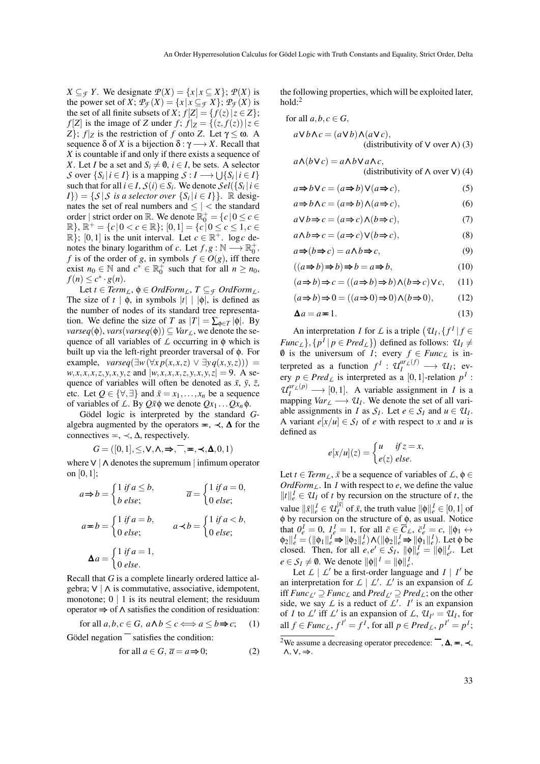*X* ⊆*F Y*. We designate  $P(X) = \{x | x ⊆ X\}$ ;  $P(X)$  is the power set of *X*;  $\mathcal{P}_{\mathcal{F}}(X) = \{x \mid x \subseteq \mathcal{F} X\}$ ;  $\mathcal{P}_{\mathcal{F}}(X)$  is the set of all finite subsets of *X*;  $f[Z] = \{f(z) | z \in Z\}$ ; *f* [*Z*] is the image of *Z* under  $f$ ;  $f|z = \{(z, f(z)) | z \in$ *Z*}; *f* |*z* is the restriction of *f* onto *Z*. Let  $γ ≤ ω$ . A sequence  $\delta$  of *X* is a bijection  $\delta : \gamma \longrightarrow X$ . Recall that *X* is countable if and only if there exists a sequence of *X*. Let *I* be a set and  $S_i \neq \emptyset$ ,  $i \in I$ , be sets. A selector *S* over  $\{S_i | i \in I\}$  is a mapping  $S : I \longrightarrow \bigcup \{S_i | i \in I\}$ such that for all  $i \in I$ ,  $S(i) \in S_i$ . We denote  $\mathcal{S}el(\{S_i | i \in I\})$  $I\}) = \{ S | S \text{ is a selector over } \{ S_i | i \in I \} \}.$  R designates the set of real numbers and  $\leq$  |  $<$  the standard order | strict order on  $\mathbb{R}$ . We denote  $\mathbb{R}_0^+ = \{c \mid 0 \le c \in \mathbb{R}^+\}$  $\mathbb{R}$ ,  $\mathbb{R}^+ = \{c \mid 0 < c \in \mathbb{R}\};$   $[0,1] = \{c \mid 0 \le c \le 1, c \in \mathbb{R}\}.$  $\mathbb{R}$ ; [0, 1] is the unit interval. Let  $c \in \mathbb{R}^+$ . log *c* denotes the binary logarithm of *c*. Let  $f, g : \mathbb{N} \longrightarrow \mathbb{R}_0^+$ . *f* is of the order of *g*, in symbols  $f \in O(g)$ , iff there exist  $n_0 \in \mathbb{N}$  and  $c^* \in \mathbb{R}_0^+$  such that for all  $n \ge n_0$ ,  $f(n) \leq c^* \cdot g(n).$ 

Let  $t \in Term_L$ ,  $\phi \in OrdForm_L$ ,  $T \subseteq_{\mathcal{F}} OrdForm_L$ . The size of  $t | \phi$ , in symbols  $|t| | \phi|$ , is defined as the number of nodes of its standard tree representation. We define the size of *T* as  $|T| = \sum_{\phi \in T} |\phi|$ . By *varseq*( $\phi$ ), *vars*(*varseq*( $\phi$ ))  $\subseteq$  *Var*<sub>*L*</sub>, we denote the sequence of all variables of *L* occurring in φ which is built up via the left-right preorder traversal of φ. For example,  $varseq(\exists w (\forall x \ p(x, x, z) \lor \exists y \ q(x, y, z)))$  =  $w, x, x, x, z, y, x, y, z$  and  $|w, x, x, x, z, y, x, y, z| = 9$ . A sequence of variables will often be denoted as  $\bar{x}$ ,  $\bar{y}$ ,  $\bar{z}$ , etc. Let  $Q \in \{\forall, \exists\}$  and  $\bar{x} = x_1, \ldots, x_n$  be a sequence of variables of *L*. By  $Q\bar{x}\phi$  we denote  $Qx_1 \dots Qx_n\phi$ .

Gödel logic is interpreted by the standard Galgebra augmented by the operators  $=$ ,  $\prec$ ,  $\Delta$  for the connectives  $=$ ,  $\prec$ ,  $\Delta$ , respectively.

$$
G = ([0, 1], \leq, \mathsf{V}, \mathsf{\Lambda}, \Rightarrow, \mathsf{\Gamma}, \mathsf{m}, \prec, \mathsf{\Lambda}, 0, 1)
$$

where∨ | ∧ denotes the supremum | infimum operator on [0,1];

$$
a \Rightarrow b = \begin{cases} 1 & \text{if } a \le b, \\ b & \text{else}; \end{cases} \qquad \qquad \overline{a} = \begin{cases} 1 & \text{if } a = 0, \\ 0 & \text{else}; \end{cases}
$$

$$
a \Rightarrow b = \begin{cases} 1 & \text{if } a < b, \\ 0 & \text{else}; \end{cases} \qquad a \prec b = \begin{cases} 1 & \text{if } a < b, \\ 0 & \text{else}; \end{cases}
$$

$$
\Delta a = \begin{cases} 1 & \text{if } a = 1, \\ 0 & \text{else}. \end{cases}
$$

Recall that *G* is a complete linearly ordered lattice algebra;  $∨$  | ∧ is commutative, associative, idempotent, monotone;  $0 \mid 1$  is its neutral element; the residuum operator ⇒ of ∧ satisfies the condition of residuation:

for all  $a, b, c \in G$ ,  $a \wedge b \leq c \Longleftrightarrow a \leq b \Rightarrow c$ ; (1)

Gödel negation  $\overline{\phantom{a}}$  satisfies the condition:

for all 
$$
a \in G
$$
,  $\overline{a} = a \Rightarrow 0$ ; (2)

the following properties, which will be exploited later,  $hold:$ <sup>2</sup>

for all 
$$
a, b, c \in G
$$
,  
\n $a \vee b \wedge c = (a \vee b) \wedge (a \vee c)$ ,  
\n(distributivity of V over  $\wedge$ ) (3)

$$
a \Lambda (b \lor c) = a \Lambda b \lor a \Lambda c,
$$
  
(distributivity of  $\Lambda$  over V) (4)

$$
a \Rightarrow b \lor c = (a \Rightarrow b) \lor (a \Rightarrow c),
$$
 (5)

$$
a \Rightarrow b \land c = (a \Rightarrow b) \land (a \Rightarrow c), \tag{6}
$$

$$
a \vee b \Rightarrow c = (a \Rightarrow c) \wedge (b \Rightarrow c), \tag{7}
$$

$$
a \wedge b \Rightarrow c = (a \Rightarrow c) \vee (b \Rightarrow c), \tag{8}
$$

$$
a \Rightarrow (b \Rightarrow c) = a \land b \Rightarrow c,\tag{9}
$$

$$
((a \Rightarrow b) \Rightarrow b) \Rightarrow b = a \Rightarrow b,\tag{10}
$$

$$
(a \Rightarrow b) \Rightarrow c = ((a \Rightarrow b) \Rightarrow b) \land (b \Rightarrow c) \lor c, \quad (11)
$$

$$
(a \Rightarrow b) \Rightarrow 0 = ((a \Rightarrow 0) \Rightarrow 0) \land (b \Rightarrow 0), \tag{12}
$$

$$
\Delta a = a = 1. \tag{13}
$$

An interpretation *I* for *L* is a triple  $(U_I, \{f^I | f \in$ *Func*<sub>*L*</sub></sub> $\}$ ,  $\{p^I | p \in Pred_L\}$  defined as follows:  $U_I \neq$ 0 is the universum of *I*; every  $f \in \text{Func}_L$  is interpreted as a function  $f^I: \mathcal{U}_I^{ar_L(f)} \longrightarrow \mathcal{U}_I$ ; every  $p \in Pred_L$  is interpreted as a [0,1]-relation  $p^I$ :  $U_I^{ar_L(p)} \longrightarrow [0,1]$ . A variable assignment in *I* is a mapping  $Var_L \longrightarrow U_I$ . We denote the set of all variable assignments in *I* as  $S_I$ . Let  $e \in S_I$  and  $u \in U_I$ . A variant  $e[x/u] \in S_I$  of *e* with respect to *x* and *u* is defined as

$$
e[x/u](z) = \begin{cases} u & \text{if } z = x, \\ e(z) & \text{else.} \end{cases}
$$

Let  $t \in \text{Term}_L$ ,  $\bar{x}$  be a sequence of variables of  $\mathcal{L}, \phi \in$  $OrdForm_{\mathcal{L}}$ . In *I* with respect to *e*, we define the value  $||t||_e^I \in \mathcal{U}_I$  of *t* by recursion on the structure of *t*, the value  $\|\bar{x}\|_e^I \in U_I^{|\bar{x}|}$  of  $\bar{x}$ , the truth value  $\|\phi\|_e^I \in [0,1]$  of  $φ$  by recursion on the structure of  $φ$ , as usual. Notice that  $0^I_e = 0$ ,  $I^I_e = 1$ , for all  $\bar{c} \in \bar{C}_L$ ,  $\bar{c}^I_e = c$ ,  $\|\phi_1 \leftrightarrow \phi\|$  $\phi_2 \parallel^I_e = (\|\phi_1\|_e^I \Rightarrow \|\phi_2\|_e^I) \wedge (\|\phi_2\|_e^I \Rightarrow \|\phi_1\|_e^I).$  Let  $\phi$  be closed. Then, for all  $e, e' \in S_I$ ,  $\|\phi\|_e^I = \|\phi\|_{e'}^I$ . Let  $e \in \mathcal{S}_I \neq \emptyset$ . We denote  $\|\phi\|_{\ell}^I = \|\phi\|_{\ell}^I$ .

Let  $L \mid L'$  be a first-order language and  $I \mid I'$  be an interpretation for  $L \mid L'$ .  $L'$  is an expansion of  $L$ iff *Func*<sub>*L*</sub></sub> ⊇ *Func*<sub>*L*</sub> and *Pred*<sub>*L*</sub><sup>*l*</sup> ⊇ *Pred*<sub>*L*</sub>; on the other side, we say  $\mathcal L$  is a reduct of  $\mathcal L'$ .  $I'$  is an expansion of *I* to *L'* iff *L'* is an expansion of *L*,  $U_{I'} = U_I$ , for all  $f \in \text{Func}_L$ ,  $f^{I'} = f^I$ , for all  $p \in \text{Pred}_L$ ,  $p^{I'} = p^I$ ;

<sup>&</sup>lt;sup>2</sup>We assume a decreasing operator precedence:  $\overline{\phantom{a}}$ ,  $\Delta$ ,  $\equiv$ ,  $\prec$ , ∧, ∨, ⇒.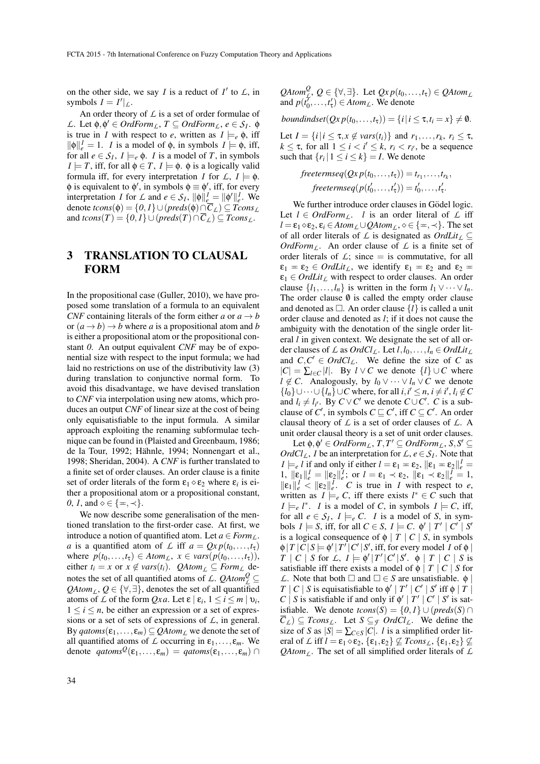on the other side, we say *I* is a reduct of  $I'$  to  $L$ , in symbols  $I = I'|_{\mathcal{L}}$ .

An order theory of *L* is a set of order formulae of *L*. Let  $φ, φ' ∈ OrdForm<sub>L</sub>, T ⊆ OrdForm<sub>L</sub>, e ∈ S<sub>I</sub>. φ$ is true in *I* with respect to *e*, written as  $I \models_e \phi$ , iff  $\|\phi\|_{e}^{I} = 1$ . *I* is a model of  $\phi$ , in symbols  $I \models \phi$ , iff, for all  $e \in S_I$ ,  $I \models_e \phi$ . *I* is a model of *T*, in symbols  $I \models T$ , iff, for all  $\phi \in T$ ,  $I \models \phi$ .  $\phi$  is a logically valid formula iff, for every interpretation *I* for  $\mathcal{L}, I \models \phi$ .  $\phi$  is equivalent to  $\phi'$ , in symbols  $\phi \equiv \phi'$ , iff, for every interpretation *I* for *L* and  $e \in S_I$ ,  $\|\phi\|_{e}^I = \|\phi'\|_{e}^I$ . We denote  $tcons(\phi) = \{0,1\} \cup (preds(\phi) \cap C_{\mathcal{L}}) \subseteq Tcons_{\mathcal{L}}$ and  $tcons(T) = \{0,1\} \cup (preds(T) \cap \overline{C}_L) \subseteq Tcons_L$ .

## 3 TRANSLATION TO CLAUSAL FORM

In the propositional case (Guller, 2010), we have proposed some translation of a formula to an equivalent *CNF* containing literals of the form either *a* or  $a \rightarrow b$ or  $(a \rightarrow b) \rightarrow b$  where *a* is a propositional atom and *b* is either a propositional atom or the propositional constant *0*. An output equivalent *CNF* may be of exponential size with respect to the input formula; we had laid no restrictions on use of the distributivity law (3) during translation to conjunctive normal form. To avoid this disadvantage, we have devised translation to *CNF* via interpolation using new atoms, which produces an output *CNF* of linear size at the cost of being only equisatisfiable to the input formula. A similar approach exploiting the renaming subformulae technique can be found in (Plaisted and Greenbaum, 1986; de la Tour, 1992; Hähnle, 1994; Nonnengart et al., 1998; Sheridan, 2004). A *CNF* is further translated to a finite set of order clauses. An order clause is a finite set of order literals of the form  $\varepsilon_1 \diamond \varepsilon_2$  where  $\varepsilon_i$  is either a propositional atom or a propositional constant, *0*, *1*, and  $\diamond \in \{\pm, \prec\}.$ 

We now describe some generalisation of the mentioned translation to the first-order case. At first, we introduce a notion of quantified atom. Let  $a \in Form_L$ . *a* is a quantified atom of *L* iff  $a = Qx p(t_0, \ldots, t_{\tau})$ where  $p(t_0, \ldots, t_\tau) \in Atom_L$ ,  $x \in vars(p(t_0, \ldots, t_\tau))$ , either  $t_i = x$  or  $x \notin vars(t_i)$ . *QAtom*<sub>*L*</sub>  $\subseteq Form_{\perp}$  denotes the set of all quantified atoms of *L*. *QAtom*<sup>*Q*</sup> ⊆  $QAtom<sub>L</sub>, Q \in {\forall, \exists}$ , denotes the set of all quantified atoms of *L* of the form *Qxa*. Let  $\varepsilon \mid \varepsilon_i, 1 \le i \le m \mid \nu_i$ ,  $1 \leq i \leq n$ , be either an expression or a set of expressions or a set of sets of expressions of *L*, in general. By  $qatoms(\varepsilon_1,...,\varepsilon_m) \subseteq QAtom_L$  we denote the set of all quantified atoms of  $\mathcal L$  occurring in  $\varepsilon_1,\ldots,\varepsilon_m$ . We denote  $qatoms^{\mathcal{Q}}(\varepsilon_1,...,\varepsilon_m) = qatoms(\varepsilon_1,...,\varepsilon_m) \cap$   $QAtom_{\mathcal{L}}^{\mathcal{Q}}, \mathcal{Q} \in {\forall, \exists}.$  Let  $Qxp(t_0,...,t_{\tau}) \in QAtom_{\mathcal{L}}$ and  $p(t'_0, \ldots, t'_\tau) \in Atom_{\mathcal{L}}$ . We denote

$$
boundindset(Qx p(t_0,...,t_{\tau})) = \{i | i \leq \tau, t_i = x\} \neq \emptyset.
$$

Let  $I = \{i | i \leq \tau, x \notin vars(t_i)\}$  and  $r_1, \ldots, r_k, r_i \leq \tau$ ,  $k \leq \tau$ , for all  $1 \leq i \leq i' \leq k$ ,  $r_i < r_{i'}$ , be a sequence such that  $\{r_i | 1 \le i \le k\} = I$ . We denote

$$
freetermseq(Qx p(t_0,...,t_{\tau})) = t_{r_1},...,t_{r_k},
$$
  

$$
freetermseq(p(t'_0,...,t'_{\tau})) = t'_0,...,t'_{\tau}.
$$

We further introduce order clauses in Gödel logic. Let  $l \in \text{OrdForm}_L$ . *l* is an order literal of  $L$  iff  $l = \varepsilon_1 \diamond \varepsilon_2$ ,  $\varepsilon_i \in Atom_L \cup QAtom_L$ ,  $\diamond \in \{\pm, \prec\}$ . The set of all order literals of  $\mathcal L$  is designated as  $OrdLit_{\mathcal L} \subseteq$ *OrdForm*<sub>L</sub>. An order clause of  $\angle$  is a finite set of order literals of  $\mathcal{L}$ ; since  $=$  is commutative, for all  $\varepsilon_1 = \varepsilon_2 \in \text{Ord}$ Lit<sub> $\ell_1$ </sub>, we identify  $\varepsilon_1 = \varepsilon_2$  and  $\varepsilon_2 =$  $\varepsilon_1 \in \text{Ord}$ *Lit*<sub>*L*</sub> with respect to order clauses. An order clause  $\{l_1, \ldots, l_n\}$  is written in the form  $l_1 \vee \cdots \vee l_n$ . The order clause  $\emptyset$  is called the empty order clause and denoted as  $\Box$ . An order clause  $\{l\}$  is called a unit order clause and denoted as *l*; if it does not cause the ambiguity with the denotation of the single order literal *l* in given context. We designate the set of all order clauses of *L* as  $OrdCl_{\mathcal{L}}$ . Let  $l, l_0, \ldots, l_n \in OrdLit_{\mathcal{L}}$ and  $C, C' \in OrdC_l$ . We define the size of *C* as  $|C| = \sum_{l \in C} |l|$ . By  $l \vee C$  we denote  $\{l\} \cup C$  where *l* ∉ *C*. Analogously, by  $l_0 ∨ ⋯ ∨ l_n ∨ C$  we denote  ${l_0}$  ∪···∪ ${l_n}$  ∪ *C* where, for all *i*, *i*<sup> $\leq$ </sup> *n*, *i*  $\neq$  *i*<sup> $\leq$ </sup>, *l<sub>i</sub>*  $\notin$  *C* and  $l_i \neq l_{i'}$ . By  $C \vee C'$  we denote  $C \cup C'$ . *C* is a subclause of *C'*, in symbols  $C \sqsubseteq C'$ , iff  $C \subseteq C'$ . An order clausal theory of *L* is a set of order clauses of *L*. A unit order clausal theory is a set of unit order clauses.

Let  $\phi, \phi' \in OrdForm_L, T, T' \subseteq OrdForm_L, S, S' \subseteq$ *OrdCl*<sub>*L*</sub>, *I* be an interpretation for  $\mathcal{L}$ ,  $e \in \mathcal{S}_I$ . Note that  $I \models e \text{ } l$  if and only if either  $l = \varepsilon_1 = \varepsilon_2$ ,  $\|\varepsilon_1 - \varepsilon_2\|_e^I =$ 1,  $\|\boldsymbol{\varepsilon}_1\|_e^I = \|\boldsymbol{\varepsilon}_2\|_e^I$ ; or  $l = \boldsymbol{\varepsilon}_1 \prec \boldsymbol{\varepsilon}_2$ ,  $\|\boldsymbol{\varepsilon}_1 \prec \boldsymbol{\varepsilon}_2\|_e^I = 1$ ,  $\|\varepsilon_1\|_e^I \leq \|\varepsilon_2\|_e^I$ . *C* is true in *I* with respect to *e*, written as  $I \models_e C$ , iff there exists  $l^* \in C$  such that  $I \models_e l^*$ . *I* is a model of *C*, in symbols  $I \models C$ , iff, for all  $e \in S_I$ ,  $I \models_e C$ . *I* is a model of *S*, in symbols  $I \models S$ , iff, for all  $C \in S$ ,  $I \models C$ .  $\phi' | T' | C' | S'$ is a logical consequence of  $\phi$  | *T* | *C* | *S*, in symbols  $\phi |T|C|S \models \phi' |T'|C'|S'$ , iff, for every model *I* of  $\phi$  $T \mid C \mid S$  for  $L$ ,  $I \models \phi' | T' | C' | S'$ .  $\phi \mid T \mid C \mid S$  is satisfiable iff there exists a model of  $\phi$  | *T* | *C* | *S* for *L*. Note that both  $\square$  and  $\square \in S$  are unsatisfiable.  $\phi$  $T \mid C \mid S$  is equisatisfiable to  $\phi' \mid T' \mid C' \mid S'$  iff  $\phi \mid T \mid$ *C* | *S* is satisfiable if and only if  $\phi'$  | *T'* | *C'* | *S'* is satisfiable. We denote  $tcons(S) = \{0,1\} \cup (predS(S) \cap$  $\overline{C}_L$ )  $\subseteq$  *Tcons<sub>L</sub>*. Let  $S \subseteq$  *F OrdCl<sub>L</sub>*. We define the size of *S* as  $|S| = \sum_{C \in S} |C|$ . *l* is a simplified order literal of *L* iff  $l = \varepsilon_1 \diamond \varepsilon_2$ ,  $\{\varepsilon_1, \varepsilon_2\} \nsubseteq Tcons_L$ ,  $\{\varepsilon_1, \varepsilon_2\} \nsubseteq$ *QAtom<sub>L</sub>*. The set of all simplified order literals of  $\mathcal{L}$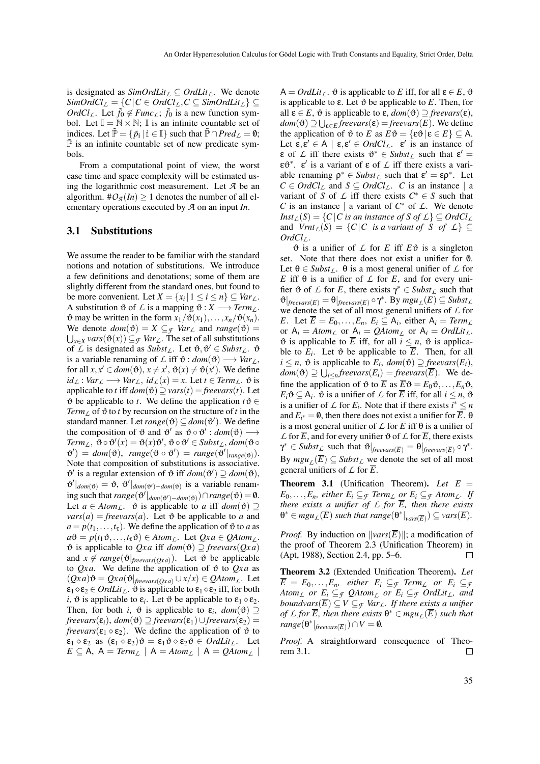is designated as  $SimOrdLit_{\mathcal{L}} \subseteq OrdLit_{\mathcal{L}}$ . We denote  $SimOrdCl_{\mathcal{L}} = \{C | C \in OrdCl_{\mathcal{L}}, C \subseteq SimOrdLit_{\mathcal{L}}\}$  ⊆ *OrdCl<sub>L</sub>*. Let  $\tilde{f}_0 \notin \text{Func}_L$ ;  $\tilde{f}_0$  is a new function symbol. Let  $\mathbb{I} = \mathbb{N} \times \mathbb{N}$ ;  $\mathbb{I}$  is an infinite countable set of indices. Let  $\tilde{\mathbb{P}} = {\{\tilde{p}_i \mid i \in \mathbb{I}\}}$  such that  $\tilde{\mathbb{P}} \cap Pred_L = \emptyset$ ;  $\tilde{P}$  is an infinite countable set of new predicate symbols.

From a computational point of view, the worst case time and space complexity will be estimated using the logarithmic cost measurement. Let *A* be an algorithm.  $\#O_{\mathcal{A}}(In) \geq 1$  denotes the number of all elementary operations executed by *A* on an input *In*.

#### 3.1 Substitutions

We assume the reader to be familiar with the standard notions and notation of substitutions. We introduce a few definitions and denotations; some of them are slightly different from the standard ones, but found to be more convenient. Let  $X = \{x_i | 1 \le i \le n\} \subseteq Var_L$ . A substitution  $\vartheta$  of  $\mathcal L$  is a mapping  $\vartheta : X \longrightarrow \text{Term}_L$ .  $\vartheta$  may be written in the form  $x_1/\vartheta(x_1), \ldots, x_n/\vartheta(x_n)$ . We denote  $dom(\vartheta) = X \subseteq$  *Var*<sub>L</sub> and  $range(\vartheta) =$  $\bigcup_{x \in X} vars(\vartheta(x)) ⊆ F \text{ Var}_L$ . The set of all substitutions of *L* is designated as  $\textit{Subst}_L$ . Let  $\vartheta, \vartheta' \in \textit{Subst}_L$ .  $\vartheta$ is a variable renaming of *L* iff  $\vartheta$  :  $dom(\vartheta) \longrightarrow Var_L$ , for all  $x, x' \in dom(\vartheta), x \neq x', \vartheta(x) \neq \vartheta(x')$ . We define  $id_L$  :  $Var_L$  →  $Var_L$ ,  $id_L(x) = x$ . Let *t* ∈ *Term*<sub>*L*</sub>.  $\vartheta$  is applicable to *t* iff  $dom(\vartheta) \supseteq vars(t) = \text{freevars}(t)$ . Let  $\vartheta$  be applicable to *t*. We define the application  $t\vartheta \in$ *Term*<sub>*L*</sub> of  $\vartheta$  to *t* by recursion on the structure of *t* in the standard manner. Let  $range(\theta) \subseteq dom(\theta')$ . We define the composition of  $\vartheta$  and  $\vartheta'$  as  $\vartheta \circ \vartheta' : dom(\vartheta) \longrightarrow$  $Term_{\mathcal{L}}, \ \vartheta \circ \vartheta'(x) = \vartheta(x) \vartheta', \ \vartheta \circ \vartheta' \in Subst_{\mathcal{L}}, \ dom(\vartheta \circ \vartheta)$  $\mathfrak{G}'$ ) =  $dom(\mathfrak{G})$ ,  $range(\mathfrak{G} \circ \mathfrak{G}')$  =  $range(\mathfrak{G}'|_{range(\mathfrak{G})})$ . Note that composition of substitutions is associative.  $\mathfrak{G}'$  is a regular extension of  $\mathfrak{G}$  iff  $dom(\mathfrak{G}') \supseteq dom(\mathfrak{G}),$  $\theta' |_{dom(\theta)} = \theta$ ,  $\theta' |_{dom(\theta') - dom(\theta)}$  is a variable renaming such that  $range(\vartheta'|_{dom(\vartheta')-dom(\vartheta)}) \cap range(\vartheta) = \emptyset$ . Let  $a \in Atom_L$ .  $\vartheta$  is applicable to *a* iff  $dom(\vartheta) \supseteq$  $vars(a) = freevars(a)$ . Let  $\vartheta$  be applicable to *a* and  $a = p(t_1, \ldots, t_{\tau})$ . We define the application of  $\vartheta$  to *a* as  $a\vartheta = p(t_1\vartheta, \ldots, t_{\tau}\vartheta) \in Atom_L$ . Let  $Qxa \in QAtom_L$ .  $\vartheta$  is applicable to *Qxa* iff *dom*( $\vartheta$ )  $\supseteq$  *freevars*(*Qxa*) and  $x \notin range(\vartheta|_{\text{freevars}(Qxa)})$ . Let  $\vartheta$  be applicable to  $Qxa$ . We define the application of  $\vartheta$  to  $Qxa$  as  $(Qxa)\vartheta = Qxa(\vartheta|_{\text{freevars}(Qxa)} \cup x/x) \in QAtom<sub>L</sub>$ . Let  $\varepsilon_1 \diamond \varepsilon_2 \in \text{Ord}$  *Lit<sub>L</sub>*.  $\vartheta$  is applicable to  $\varepsilon_1 \diamond \varepsilon_2$  iff, for both *i*,  $\vartheta$  is applicable to  $\varepsilon_i$ . Let  $\vartheta$  be applicable to  $\varepsilon_1 \diamond \varepsilon_2$ . Then, for both *i*,  $\vartheta$  is applicable to  $\varepsilon_i$ ,  $dom(\vartheta) \supseteq$  $freevars(\varepsilon_i)$ ,  $dom(\vartheta) \supseteq freevars(\varepsilon_1) \cup freevars(\varepsilon_2)$  = *freevars*( $\varepsilon_1 \diamond \varepsilon_2$ ). We define the application of  $\vartheta$  to  $\epsilon_1 \diamond \epsilon_2$  as  $(\epsilon_1 \diamond \epsilon_2) \vartheta = \epsilon_1 \vartheta \diamond \epsilon_2 \vartheta \in \text{Ord}$ Lit<sub>L</sub>. Let  $E \subseteq A$ ,  $A = Term_{L} \mid A = Atom_{L} \mid A = QAtom_{L}$ 

 $A = OrdLit_L$ .  $\vartheta$  is applicable to *E* iff, for all  $\varepsilon \in E$ ,  $\vartheta$ is applicable to  $ε$ . Let  $θ$  be applicable to  $E$ . Then, for all  $\varepsilon \in E$ ,  $\vartheta$  is applicable to  $\varepsilon$ ,  $dom(\vartheta) \supseteq$  *freevars* $(\varepsilon)$ ,  $dom(\vartheta) \supseteq \bigcup_{\varepsilon \in E} frevars(\varepsilon) = frevars(E)$ . We define the application of  $\vartheta$  to *E* as  $E\vartheta = {\{\epsilon \vartheta | \epsilon \in E\}} \subseteq A$ . Let  $\varepsilon, \varepsilon' \in A \mid \varepsilon, \varepsilon' \in OrdCl_L$ .  $\varepsilon'$  is an instance of **ε** of *L* iff there exists  $\vartheta^* \in \text{Subst}_L$  such that  $\varepsilon' =$ ε $\mathfrak{v}^*$ . ε' is a variant of ε of *L* iff there exists a variable renaming  $\rho^* \in \text{Subst}_{\mathcal{L}}$  such that  $\varepsilon' = \varepsilon \rho^*$ . Let  $C \in OrdCl_{\mathcal{L}}$  and  $S \subseteq OrdCl_{\mathcal{L}}$ . *C* is an instance | a variant of *S* of  $\angle$  iff there exists  $C^* \in S$  such that *C* is an instance | a variant of  $C^*$  of  $\mathcal{L}$ . We denote *Inst*<sub>*L*</sub>(*S*) = {*C*|*C is an instance of S of L*}  $\subseteq$  *OrdCl*<sub>*L*</sub> and  $Vint_L(S) = \{C | C \text{ is a variant of } S \text{ of } L\} \subseteq$  $OrdCl<sub>L</sub>$ .

 $\vartheta$  is a unifier of  $\mathcal L$  for  $E$  iff  $E\vartheta$  is a singleton set. Note that there does not exist a unifier for  $\emptyset$ . Let  $\theta \in \text{Subst}_{\mathcal{L}}$ .  $\theta$  is a most general unifier of  $\mathcal{L}$  for *E* iff  $\theta$  is a unifier of  $\mathcal L$  for *E*, and for every unifier  $\vartheta$  of *L* for *E*, there exists  $\gamma^* \in \text{Subst}_{L}$  such that  $\mathfrak{G}\big|_{\text{freevars}(E)} = \Theta|_{\text{freevars}(E)} \circ \gamma^*$ . By  $mgu_L(E) \subseteq \text{Subst}_L$ we denote the set of all most general unifiers of *L* for *E*. Let  $\overline{E} = E_0, \ldots, E_n, E_i \subseteq A_i$ , either  $A_i = Term_{\perp}$ or  $A_i = Atom_L$  or  $A_i = QAtom_L$  or  $A_i = OrdLit_L$ .  $\vartheta$  is applicable to  $\overline{E}$  iff, for all  $i \leq n$ ,  $\vartheta$  is applicable to  $E_i$ . Let  $\vartheta$  be applicable to  $\overline{E}$ . Then, for all  $i \leq n$ ,  $\vartheta$  is applicable to  $E_i$ ,  $dom(\vartheta) \supseteq$  *freevars* $(E_i)$ ,  $dom(\vartheta) \supseteq \bigcup_{i \leq n} freevars(E_i) = freevars(\overline{E}).$  We define the application of  $\vartheta$  to  $\overline{E}$  as  $\overline{E}\vartheta = E_0\vartheta, \dots, E_n\vartheta$ ,  $E_i \vartheta \subseteq A_i$ .  $\vartheta$  is a unifier of  $\mathcal L$  for  $\overline E$  iff, for all  $i \leq n$ ,  $\vartheta$ is a unifier of *L* for *E<sub>i</sub>*. Note that if there exists  $i^* \leq n$ and  $E_{i^*} = \emptyset$ , then there does not exist a unifier for  $\overline{E}$ .  $\theta$ is a most general unifier of  $\angle$  for  $\overline{E}$  iff  $\theta$  is a unifier of  $\angle$  for  $\overline{E}$ , and for every unifier  $\vartheta$  of  $\angle$  for  $\overline{E}$ , there exists  $\gamma^* \in \textit{Subst}_{\mathcal{L}} \text{ such that } \vartheta|_{\textit{freevars}(\overline{E})} = \theta|_{\textit{freevars}(\overline{E})} \circ \gamma^*.$ By  $mgu_L(E) \subseteq Subst_L$  we denote the set of all most general unifiers of  $\angle$  for  $\overline{E}$ .

**Theorem 3.1** (Unification Theorem). Let  $\overline{E}$  = *E*<sub>0</sub>,...,*E*<sub>*n*</sub>, *either E*<sub>*i*</sub> ⊆ *f Term*<sub>*L*</sub> *or E*<sub>*i*</sub> ⊆ *f Atom*<sub>*L*</sub>. *If there exists a unifier of*  $\angle$  *for*  $\overline{E}$ *, then there exists*  $\theta^* \in \text{mgu}_L(\overline{E})$  such that  $\text{range}(\theta^*|_{\text{vars}(\overline{E})}) \subseteq \text{vars}(\overline{E}).$ 

*Proof.* By induction on  $\Vert \text{vars}(\overline{E}) \Vert$ ; a modification of the proof of Theorem 2.3 (Unification Theorem) in (Apt, 1988), Section 2.4, pp. 5–6.  $\Box$ 

Theorem 3.2 (Extended Unification Theorem). *Let*  $\overline{E} = E_0, \ldots, E_n$ , either  $E_i \subseteq \tau$  *Term<sub>L</sub>* or  $E_i \subseteq \tau$ *Atom<sub>L</sub> or*  $E_i \subseteq$  *f*  $QAtom$ <sub>*L*</sub> *or*  $E_i \subseteq$  *f*  $OrdLit$ <sub>*L*</sub>, and *boundvars* $(\overline{E}) \subseteq V \subseteq$  *f Var*<sub>*L*</sub>*. If there exists a unifier of L for*  $\overline{E}$ *, then there exists*  $\theta^* \in \text{mgu}_L(\overline{E})$  *such that*  $range(\theta^*|_{\text{freevars}(\overline{E})}) \cap V = \emptyset.$ 

*Proof.* A straightforward consequence of Theorem 3.1.  $\Box$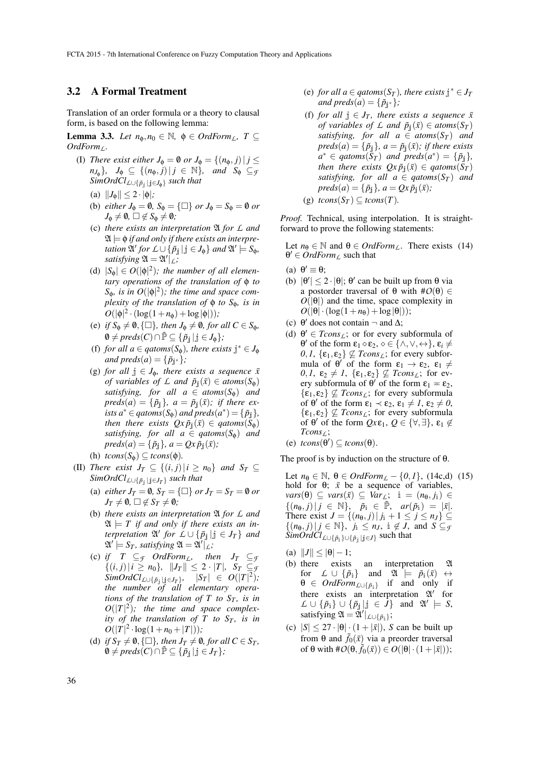### 3.2 A Formal Treatment

Translation of an order formula or a theory to clausal form, is based on the following lemma:

**Lemma 3.3.** *Let*  $n_{\phi}, n_0 \in \mathbb{N}$ ,  $\phi \in \text{OrdForm}_L$ ,  $T \subseteq$ *OrdFormL.*

- (I) *There exist either*  $J_{\phi} = \emptyset$  *or*  $J_{\phi} = \{(n_{\phi}, j) | j \leq$  $n_{J_{\phi}}$ },  $J_{\phi} \subseteq \{(n_{\phi}, j) | j \in \mathbb{N}\}$ , and  $S_{\phi} \subseteq_{\mathcal{F}}$ *SimOrdClL*∪{*p*˜<sup>j</sup> <sup>|</sup> <sup>j</sup>∈*J*φ} *such that*
	- (a)  $||J_{\phi}|| \leq 2 \cdot |\phi|$ ;
	- (b) *either*  $J_{\phi} = \emptyset$ ,  $S_{\phi} = {\Box}$  *or*  $J_{\phi} = S_{\phi} = \emptyset$  *or*  $J_{\Phi} \neq \emptyset$ ,  $\square \notin S_{\Phi} \neq \emptyset$ *;*
	- (c) *there exists an interpretation* A *for L and*  $\mathfrak{A} \models \phi$  *if and only if there exists an interpre-* $\mathcal{L}$  *tation*  $\mathfrak{A}'$   $\mathfrak{f}$  *or*  $\mathcal{L} \cup \{ \tilde{p}_{\mathfrak{j}} | \mathfrak{j} \in J_{\phi} \}$  *and*  $\mathfrak{A}' \models S_{\phi}$ *, satisfying*  $\mathfrak{A} = \mathfrak{A}'|_L$ *;*
	- (d)  $|S_{\phi}| \in O(|\phi|^2)$ ; the number of all elemen*tary operations of the translation of* φ *to*  $S_{\phi}$ *, is in O*( $|\phi|^2$ )*; the time and space complexity of the translation of* φ *to S*φ*, is in*  $O(|\phi|^2 \cdot (\log(1 + n_{\phi}) + \log |\phi|));$
	- (e) *if*  $S_{\phi} \neq \emptyset$ ,  $\{\Box\}$ *, then*  $J_{\phi} \neq \emptyset$ *, for all*  $C \in S_{\phi}$ *,*  $\emptyset \neq \text{preds}(C) \cap \tilde{\mathbb{P}} \subseteq {\{\tilde{p}_i \mid j \in J_{\phi}\}};$
	- (f) *for all a*  $\in$  *qatoms*( $S_{\phi}$ )*, there exists*  $j^* \in J_{\phi}$ *and preds*(*a*) =  $\{\tilde{p}_{j^*}\}\;$ ;
	- (g) *for all*  $j \in J_{\phi}$ *, there exists a sequence*  $\bar{x}$ *of variables of L and*  $\tilde{p}_j(\bar{x}) \in atoms(S_\phi)$ *satisfying, for all*  $a \in atoms(S_{\phi})$  *and*  $preds(a) = {\tilde{p}}_j, a = \tilde{p}_j(\bar{x});$  *if there exists*  $a^* \in qatoms(S_\phi)$  *and preds* $(a^*) = {\{\tilde{p}_\sharp\}}$ *, then there exists*  $Qx \tilde{p}_i(\bar{x}) \in q \text{atoms}(\tilde{S}_{\phi})$ *satisfying, for all a*  $\in$  *qatoms*( $S_{\phi}$ ) *and*  $preds(a) = {\tilde{p}_i}, a = Qx \tilde{p}_i(\bar{x});$
	- (h)  $tcons(S_{\phi}) \subseteq tcons(\phi)$ .
- (II) *There exist*  $J_T \subseteq \{(i, j) | i \geq n_0\}$  *and*  $S_T \subseteq$ *SimOrdClL*∪{*p*˜<sup>j</sup> <sup>|</sup> <sup>j</sup>∈*J<sup>T</sup>* } *such that*
	- (a) *either*  $J_T = \emptyset$ ,  $S_T = \{\square\}$  *or*  $J_T = S_T = \emptyset$  *or*  $J_T \neq \emptyset$ ,  $\square \notin S_T \neq \emptyset$ *;*
	- (b) *there exists an interpretation* A *for L and*  $\mathfrak{A} \models T$  *if and only if there exists an in* $f$ *terpretation*  $\mathfrak{A}'$  *for*  $\mathcal{L} \cup \{\tilde{p}_j | j \in J_T\}$  *and*  $\mathfrak{A}' \models S_T$ , satisfying  $\mathfrak{A} = \mathfrak{A}'|_L$ ;
	- (c) *if*  $T \subseteq \mathcal{F}$  *OrdForm*<sub>L</sub>, then  $J_T \subseteq \mathcal{F}$  $\{(i, j) | i \geq n_0\}, \|J_T\| \leq 2 \cdot |T|, S_T \subseteq \mathcal{F}$  $\lim{Ord}Cl_{\perp\cup{\{\tilde{p}_j\mid j\in J_T\}}}, \quad |S_T| \ \in \ O(|T|^2),$ *the number of all elementary operations of the translation of T to*  $S_T$ *, is in*  $O(|T|^2)$ ; the time and space complex*ity of the translation of T to*  $S_T$ *, is in*  $O(|T|^2 \cdot \log(1+n_0+|T|));$
	- (d) *if*  $S_T \neq \emptyset$ ,  $\{\Box\}$ *, then*  $J_T \neq \emptyset$ *, for all*  $C \in S_T$ *,*  $\emptyset$  ≠ *preds*(*C*)∩ $\tilde{P}$  ⊆ { $\tilde{p}_i | j \in J_T$ };
- (e) *for all a*  $\in$  *qatoms*(*S<sub>T</sub>*)*, there exists*  $j^* \in J_T$ *and preds*(*a*) =  $\{\tilde{p}_{j^*}\}\;$ ;
- (f) *for all*  $j \in J_T$ *, there exists a sequence*  $\bar{x}$ *of variables of L and*  $\tilde{p}_i(\bar{x}) \in atoms(S_T)$ *satisfying, for all*  $a \in atoms(S_T)$  *and*  $preds(a) = {\tilde{p}_i}, a = \tilde{p}_i(\bar{x})$ *; if there exists*  $a^* \in q \text{atoms}(S_T)$  and  $\text{preds}(a^*) = {\{\tilde{p}_j\}},$ *then there exists*  $Qx \tilde{p}_i(\bar{x}) \in q \text{atoms}(S_T)$ *satisfying, for all*  $a \in q \times (S_T)$  *and*  $preds(a) = {\tilde{p}_j}, a = Qx \tilde{p}_j(\bar{x});$  $\mathbf{c}(\mathcal{T})$

(g) 
$$
tcons(S_T) \subseteq tcons(T)
$$

*Proof.* Technical, using interpolation. It is straightforward to prove the following statements:

Let  $n_{\theta} \in \mathbb{N}$  and  $\theta \in \text{OrdForm}_{L}$ . There exists (14)  $\theta' \in \text{OrdForm}_L$  such that

- (a)  $\theta' \equiv \theta;$
- (b)  $|\theta'| \le 2 \cdot |\theta|$ ;  $\theta'$  can be built up from  $\theta$  via a postorder traversal of θ with #*O*(θ) ∈  $O(|\theta|)$  and the time, space complexity in  $O(|\theta| \cdot (\log(1+n_{\theta}) + \log |\theta|));$
- (c)  $\theta'$  does not contain  $\neg$  and  $\Delta$ ;
- (d)  $\theta' \in Tcons_{\mathcal{L}}$ ; or for every subformula of  $θ'$  of the form  $\varepsilon_1 \diamond \varepsilon_2$ ,  $\diamond \in \{\land, \lor, \leftrightarrow\}, \varepsilon_i \neq$  $0, 1, {\varepsilon_1, \varepsilon_2} \not\subseteq Tcons_{\mathcal{L}};$  for every subformula of  $\theta'$  of the form  $\varepsilon_1 \to \varepsilon_2$ ,  $\varepsilon_1 \neq$  $0, 1, \varepsilon_2 \neq 1, \{\varepsilon_1, \varepsilon_2\} \not\subseteq Tcons_{\mathcal{L}};$  for every subformula of  $\theta'$  of the form  $\varepsilon_1 = \varepsilon_2$ ,  $\{\varepsilon_1, \varepsilon_2\} \nsubseteq Tcons_L$ ; for every subformula of  $\theta'$  of the form  $\varepsilon_1 \prec \varepsilon_2$ ,  $\varepsilon_1 \neq 1$ ,  $\varepsilon_2 \neq 0$ ,  $\{\varepsilon_1, \varepsilon_2\} \nsubseteq Tcons_{\mathcal{L}}$ ; for every subformula of  $\theta'$  of the form  $Qx\epsilon_1, Q \in {\forall, \exists}$ ,  $\epsilon_1 \notin$ *TconsL*;
- (e)  $tcons(\theta') \subseteq tcons(\theta)$ .

The proof is by induction on the structure of  $\theta$ .

Let *n*θ ∈ N, θ ∈ *OrdForm*<sub>*L*</sub> − {0, *1*}, (14c,d) (15) hold for  $\theta$ ;  $\bar{x}$  be a sequence of variables,  $vars(\theta) \subseteq vars(\bar{x}) \subseteq Var_L; i = (n_{\theta}, j_i) \in$  $\{(n_{\theta}, j) | j \in \mathbb{N}\}, \quad \tilde{p}_{i} \in \tilde{\mathbb{P}}, \quad ar(\tilde{p}_{i}) = |\bar{x}|.$ There exist  $J = \{(n_{\theta}, j) | j_{i} + 1 \leq j \leq n_{J}\}\subseteq$  $\{(n_{\theta}, j) | j \in \mathbb{N}\}, j_{\theta} \leq n_J, \theta \notin J, \text{ and } S \subseteq g$ *SimOrdCl*<sub>*L*∪{ $\tilde{p}_i$ }∪{ $\tilde{p}_j$ |*j*∈*J*} such that</sub>

- (a)  $||J|| \le |\theta| 1;$
- (b) there exists an interpretation A for  $L \cup {\{\tilde{p}_i\}}$  and  $\mathfrak{A} \models \tilde{p}_i(\bar{x}) \leftrightarrow$  $\theta \in \text{Orderm}_{\text{L}\cup \{\tilde{p}_i\}}$  if and only if there exists an interpretation  $\mathfrak{A}'$  for  $\mathcal{L} \cup \{\tilde{p}_i\} \cup \{\tilde{p}_j | j \in \tilde{J}\}$  and  $\mathfrak{A}' \models S$ , satisfying  $\mathfrak{A} = \mathfrak{A}'|_{\mathcal{L} \cup \{\tilde{p}_i\}}$ ;
- (c)  $|S| \leq 27 \cdot |\theta| \cdot (1 + |\bar{x}|)$ , *S* can be built up from θ and  $\tilde{f}_0(\bar{x})$  via a preorder traversal of θ with  $#O(\theta, \tilde{f}_0(\bar{x}))$  ∈  $O(|\theta| \cdot (1 + |\bar{x}|));$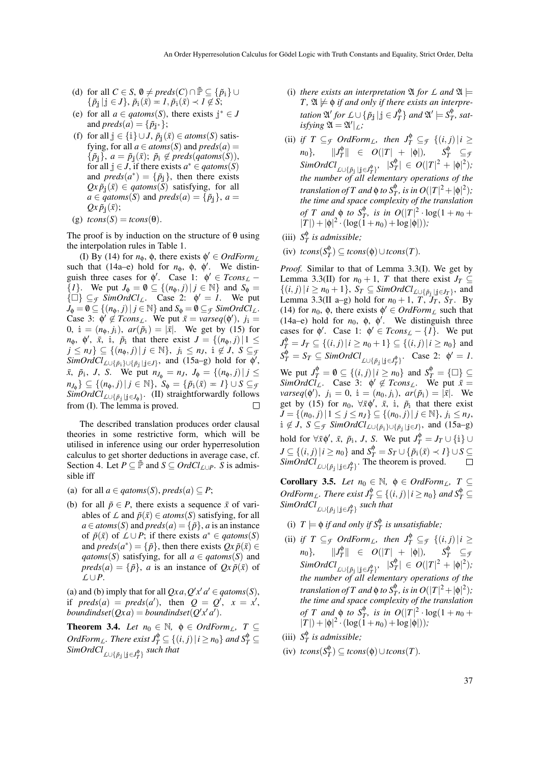- (d) for all  $C \in S$ ,  $\emptyset \neq \text{preds}(C) \cap \tilde{P} \subseteq {\{\tilde{p}_i\}} \cup$  $\{\tilde{p}_j \mid j \in J\}, \tilde{p}_i(\bar{x}) = I, \tilde{p}_i(\bar{x}) \prec I \notin S;$
- (e) for all  $a \in q \text{atoms}(S)$ , there exists  $j^* \in J$ and  $preds(a) = {\tilde{p}_{j^*}}$ ;
- (f) for all  $j \in \{i\} \cup J$ ,  $\tilde{p}_i(\bar{x}) \in atoms(S)$  satisfying, for all  $a \in atoms(S)$  and  $preds(a) =$  $\{\tilde{p}_i\},\ a = \tilde{p}_i(\bar{x});\ \tilde{p}_i \notin \text{preds}(qatoms(S)),$ for all  $j \in J$ , if there exists  $a^* \in q \text{atoms}(S)$ and  $preds(a^*) = {\tilde{p}}_j$ , then there exists  $Qx \tilde{p}_i(\bar{x}) \in q \text{atoms}(\bar{S})$  satisfying, for all  $a \in q \text{atoms}(S)$  and  $\text{preds}(a) = \{\tilde{p}_i\}, a =$  $Qx \tilde{p}_j(\bar{x});$
- (g)  $tcons(S) = tcons(\theta)$ .

The proof is by induction on the structure of  $\theta$  using the interpolation rules in Table 1.

(I) By (14) for  $n_{\phi}$ ,  $\phi$ , there exists  $\phi' \in \text{Orderm}_L$ such that (14a–e) hold for  $n_{\phi}$ ,  $\phi$ ,  $\phi'$ . We distinguish three cases for  $\phi'$ . Case 1:  $\phi' \in Tcons_{\mathcal{L}}$  – {*1*}. We put  $J_{\phi} = \emptyset \subseteq \{(n_{\phi}, j) | j \in \mathbb{N}\}\$ and  $S_{\phi} =$  $\{\Box\} \subseteq$  *F* SimOrdCl<sub>L</sub>. Case 2:  $\phi' = 1$ . We put  $J_{\phi} = \mathbf{0} \subseteq \{ (n_{\phi}, j) | j \in \mathbb{N} \}$  and  $S_{\phi} = \mathbf{0} \subseteq_{\mathcal{F}} SimOrd\hat{Cl}_{\mathcal{L}}$ . Case 3:  $\phi' \notin Tcons_{\mathcal{L}}$ . We put  $\bar{x} = \text{varseq}(\phi')$ ,  $j_i =$ 0, i =  $(n_{\phi}, j_{\phi})$ ,  $ar(\tilde{p}_{\phi}) = |\bar{x}|$ . We get by (15) for  $n_{\phi}$ ,  $\phi'$ ,  $\bar{x}$ , i,  $\tilde{p}_i$  that there exist  $J = \{(n_{\phi}, j) | 1 \leq j$ *j* ≤ *n*<sub>J</sub>} ⊆ {( $n_{\phi}, j$ )| *j* ∈ N<sup>}</sup>, *j*<sub>i</sub> ≤ *n*<sub>J</sub>, i ∉ *J*, *S* ⊆ *f*  $SimOrdCl_{\mathcal{L}\cup{\{\tilde{p}_i\}\cup{\{\tilde{p}_j\mid j\in J\}}}$ , and  $(15a-g)$  hold for  $\phi'$ ,  $\bar{x}$ ,  $\tilde{p}_i$ , *J*, *S*. We put  $n_{J_{\phi}} = n_J$ ,  $J_{\phi} = \{(n_{\phi}, j) | j \leq J\}$  $m_{J_{\phi}}$ }  $\subseteq$  {( $n_{\phi}, j$ )| $j \in \mathbb{N}$ },  $S_{\phi} = \{\tilde{p}_{i}(\bar{x}) = 1\} \cup S \subseteq g$  $SimOrdCl_{\mathcal{L}\cup{\{\tilde{p}_j\mid j\in J_\varphi\}}.$  (II) straightforwardly follows from (I). The lemma is proved.  $\Box$ 

The described translation produces order clausal theories in some restrictive form, which will be utilised in inference using our order hyperresolution calculus to get shorter deductions in average case, cf. Section 4. Let  $P \subseteq \tilde{P}$  and  $S \subseteq OrdCl_{\mathcal{L}\cup P}$ . *S* is admissible iff

- (a) for all  $a \in qatoms(S)$ ,  $preds(a) \subseteq P$ ;
- (b) for all  $\tilde{p} \in P$ , there exists a sequence  $\bar{x}$  of variables of *L* and  $\tilde{p}(\bar{x}) \in atoms(S)$  satisfying, for all  $a \in atoms(S)$  and  $preds(a) = {\tilde{p}}$ , *a* is an instance of  $\tilde{p}(\bar{x})$  of  $\mathcal{L} \cup P$ ; if there exists  $a^* \in q \text{atoms}(S)$ and  $preds(a^*) = {\{\tilde{p}\}\text{, then there exists } Qx \tilde{p}(\bar{x}) \in \mathbb{R}^3$ *qatoms*(*S*) satisfying, for all  $a \in q \text{atoms}(S)$  and  $preds(a) = {\tilde{p}}$ , *a* is an instance of  $Qx \tilde{p}(\bar{x})$  of *L* ∪*P*.

(a) and (b) imply that for all  $Qxa, Q'x'a' \in qatoms(S)$ , if  $\text{preds}(a) = \text{preds}(a'), \text{ then } Q = Q', x = x'$ ,  $boundindset(Qxa) = boundindset(Q'x'a').$ 

**Theorem 3.4.** *Let*  $n_0 \in \mathbb{N}$ ,  $\phi \in OrdForm_L$ ,  $T \subseteq$ *OrdForm<sub>L</sub>*. There exist  $J_T^{\phi} \subseteq \{(i, j) | i \ge n_0\}$  and  $S_T^{\phi} \subseteq$  $\it SimOrdCl_{\rm LO}$ <sub> $\{\tilde{p}_{\rm j}\mid {\rm j}\in J_{T}^{\rm \phi}\}$  *such that*</sub>

- (i) *there exists an interpretation*  $\mathfrak{A}$  *for*  $\mathcal{L}$  *and*  $\mathfrak{A} \models$  $T$ ,  $\mathfrak{A} \not\models \phi$  *if and only if there exists an interpretation*  $\mathfrak{A}'$  *for*  $L \cup \{\tilde{p}_j \mid j \in J_T^{\phi}$  $\{g_T^{\phi}\}$  and  $\mathfrak{A}' \models S_T^{\phi}$  $T$ <sup>*, sat-*</sup>  $\int$ *isfying*  $\mathfrak{A} = \mathfrak{A}'|_L$ *;*
- (ii) *if*  $T \subseteq \mathcal{F}$  *OrdForm*<sub>L</sub>, then  $J_T^{\phi} \subseteq \mathcal{F}$  {(*i*, *j*) | *i* ≥  $n_0$ },  $||J_T^{\phi}$  $\frac{1}{|T|}$   $\in$   $O(|T| + |\phi|)$ ,  $S_T^{\phi}$  ⊆*f*  $SimOrdCl_{\mathcal{L}\cup \{\tilde{p}_j \mid j \in J_T^{\phi}\}}$ ,  $|S_T^{\phi}$  $|T| \in O(|T|^2 + |\phi|^2);$ *the number of all elementary operations of the translation of*  $T$  *and*  $\phi$  *to*  $S_T^{\phi}$ *, is in*  $O(|T|^2 + |\phi|^2)$ *; the time and space complexity of the translation of T* and  $\phi$  *to*  $S_T^{\phi}$ *, is in*  $O(|T|^2 \cdot \log(1 + n_0 +$  $|T|$  +  $|\phi|^2 \cdot (\log(1+n_0) + \log|\phi|)$ *)*;
- (iii)  $S^{\phi}_{7}$ *T is admissible;*
- $(iv)$  *tcons* $(S_T^{\phi})$  $T^{\phi}_T$ ) ⊆ *tcons*( $\phi$ )∪*tcons*(*T*).

*Proof.* Similar to that of Lemma 3.3(I). We get by Lemma 3.3(II) for  $n_0 + 1$ , *T* that there exist  $J_T \subseteq$  $\{((i, j) \mid i \geq n_0 + 1\}, S_T \subseteq \text{SimOrdCl}_{\text{L}\cup\{\tilde{p}_j\} \cup \{cJ_T\}}$ , and Lemma 3.3(II a–g) hold for  $n_0 + 1$ ,  $T$ ,  $J_T$ ,  $S_T$ . By (14) for  $n_0$ ,  $\phi$ , there exists  $\phi' \in \text{Ord}\text{Form}_L$  such that (14a–e) hold for  $n_0$ ,  $\phi$ ,  $\phi'$ . We distinguish three cases for  $\phi'$ . Case 1:  $\phi' \in Tcons_{\mathcal{L}} - \{1\}$ . We put  $J_T^{\phi} = J_T \subseteq \{(i, j) | i \ge n_0 + 1\} \subseteq \{(i, j) | i \ge n_0\}$  and  $S_T^{\phi} = S_T \subseteq \text{SimOrdCl}_{\text{L}\cup{\{\tilde{p}_j\mid j\in J_T^{\phi}\}}}$ . Case 2:  $\phi' = 1$ . We put  $J_T^{\phi} = \emptyset \subseteq \{(i, j) | i \geq n_0\}$  and  $S_T^{\phi} = \{\square\} \subseteq$  $SimOrdCl<sub>L</sub>$ . Case 3:  $\phi' \notin Tcons<sub>L</sub>$ . We put  $\bar{x} =$  $\text{varseq}(\phi'), \, j_1 = 0, \, i = (n_0, j_i), \, \text{ar}(\tilde{p}_i) = |\bar{x}|.$  We get by (15) for  $n_0$ ,  $\forall \bar{x} \phi', \bar{x}, \bar{y}$ ,  $\bar{p}_i$  that there exist *J* = { $(n_0, j) | 1 ≤ j ≤ n<sub>J</sub>$ } ⊆ { $(n_0, j) | j ∈ ℕ$ },  $j_i ≤ n<sub>J</sub>$ , i ∉ *J*, *S* ⊆ *f SimOrdCl*<sub>*L*∪{ $\tilde{p}_i$ }∪{ $\tilde{p}_j$ |j∈*J*}</sub>, and (15a–g) hold for  $\forall \bar{x} \phi', \bar{x}, \tilde{p}_i, J, S$ . We put  $J_T^{\phi} = J_T \cup \{\bar{i}\} \cup$  $J \subseteq \{(i, j) | i \ge n_0\}$  and  $S_T^{\phi} = S_T \cup \{\tilde{p}_i(\bar{x}) \prec I\} \cup S \subseteq$  $SimOrdCl_{\mathcal{L}\cup{\{\tilde{p}_j\mid j\in J_T^{\Phi}\}}}$ . The theorem is proved.

**Corollary 3.5.** *Let*  $n_0 \in \mathbb{N}$ ,  $\phi \in \text{OrdForm}_L$ ,  $T \subseteq$ *OrdForm<sub>L</sub>*. There exist  $J_T^{\phi} \subseteq \{(i, j) | i \ge n_0\}$  and  $S_T^{\phi} \subseteq$  $SimOrdCl_{\perp\cup \{\tilde{p}_{\hat{\jmath}}\,|\, \tilde{\jmath}\in J_T^{\Phi}\}}$  *such that* 

- (i)  $T \models \phi$  *if and only if*  $S_T^{\phi}$  *is unsatisfiable;*
- (ii) *if*  $T \subseteq \mathcal{F}$  *OrdForm*<sub>L</sub>, then  $J_T^{\phi} \subseteq \mathcal{F}$  {(*i*, *j*) | *i* ≥  $n_0$ },  $||J_T^{\phi}$  $\frac{1}{|T|}$   $\in$   $O(|T| + |\phi|), \quad S_T^{\phi} \subseteq \mathcal{F}$  $\lim{Ord}Cl_{\mathcal{L}\cup\{\tilde{p}_j\mid j\in J_T^{\varphi}\}}$ ,  $|S_T^{\varphi}|$  $\frac{d\Phi}{dt}$   $\in O(|T|^2 + |\Phi|^2);$ *the number of all elementary operations of the translation of*  $T$  *and*  $\phi$  *to*  $S_T^{\phi}$ *, is in*  $O(|T|^2 + |\phi|^2)$ *; the time and space complexity of the translation of T* and  $\phi$  *to*  $S_T^{\phi}$ *, is in*  $O(|T|^2 \cdot \log(1 + n_0 +$  $|T|$  +  $|\phi|^2 \cdot (\log(1+n_0) + \log|\phi|)$ *)*;
- (iii)  $S_7^{\phi}$ *T is admissible;*
- $(iv)$  *tcons* $(S_T^{\phi})$  $T^{\varphi}_T$ ) ⊆ *tcons*( $\varphi$ )∪*tcons*(*T*).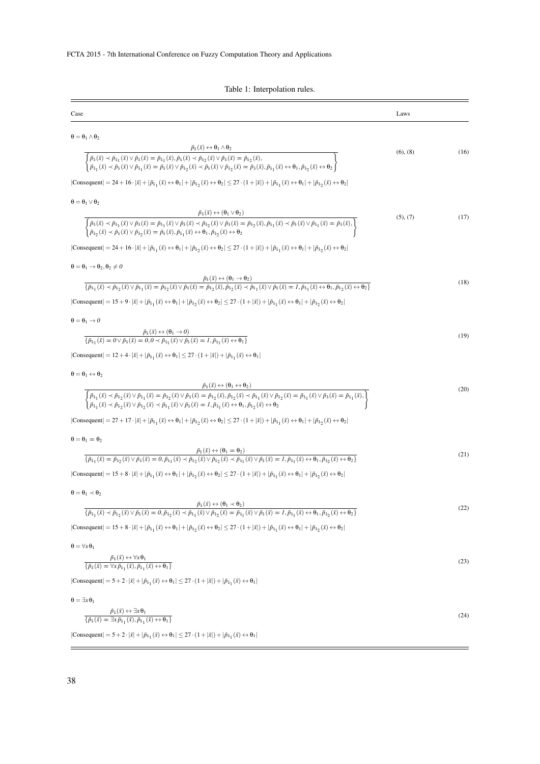Table 1: Interpolation rules.

| Case                                                                                                                                                                                                                                                                                                                                                                                                                                                                 | Laws     |      |
|----------------------------------------------------------------------------------------------------------------------------------------------------------------------------------------------------------------------------------------------------------------------------------------------------------------------------------------------------------------------------------------------------------------------------------------------------------------------|----------|------|
| $\theta = \theta_1 \wedge \theta_2$                                                                                                                                                                                                                                                                                                                                                                                                                                  |          |      |
| $\tilde{p}_1(\bar{x}) \leftrightarrow \theta_1 \wedge \theta_2$                                                                                                                                                                                                                                                                                                                                                                                                      |          |      |
| $\overline{\left\{\begin{aligned} &\tilde{p}_1(\bar{x})\prec\tilde{p}_{1_1}(\bar{x})\vee\tilde{p}_1(\bar{x})=\tilde{p}_{1_1}(\bar{x}),\tilde{p}_1(\bar{x})\prec\tilde{p}_{1_2}(\bar{x})\vee\tilde{p}_1(\bar{x})=\tilde{p}_{1_2}(\bar{x}), \\ &\tilde{p}_{1_1}(\bar{x})\prec\tilde{p}_1(\bar{x})\vee\tilde{p}_{1_1}(\bar{x})=\tilde{p}_1(\bar{x})\vee\tilde{p}_{1_2}(\bar{x})\prec\tilde{p}_1(\bar{x})\vee\tilde{p}_{1_$                                              | (6), (8) | (16) |
| $ \text{Consequent}  = 24 + 16 \cdot  \bar{x}  +  \tilde{p}_{i_1}(\bar{x}) \leftrightarrow \theta_1  +  \tilde{p}_{i_2}(\bar{x}) \leftrightarrow \theta_2  \leq 27 \cdot (1 +  \bar{x} ) +  \tilde{p}_{i_1}(\bar{x}) \leftrightarrow \theta_1  +  \tilde{p}_{i_2}(\bar{x}) \leftrightarrow \theta_2 $                                                                                                                                                                |          |      |
| $\theta = \theta_1 \vee \theta_2$                                                                                                                                                                                                                                                                                                                                                                                                                                    |          |      |
|                                                                                                                                                                                                                                                                                                                                                                                                                                                                      | (5), (7) | (17) |
| $\overbrace{\left\{\begin{aligned} &\tilde{p}_i(\bar{x})\leftrightarrow(\theta_1\vee\theta_2)\\ &\tilde{p}_i(\bar{x})\prec\tilde{p}_{i\,1}(\bar{x})\vee\tilde{p}_i(\bar{x})=\tilde{p}_{i\,1}(\bar{x})\vee\tilde{p}_i(\bar{x})\prec\tilde{p}_{i\,2}(\bar{x})\vee\tilde{p}_i(\bar{x})=\tilde{p}_{i\,2}(\bar{x})\vee\tilde{p}_i(\bar{x})\prec\tilde{p}_i(\bar{x})\vee\tilde{p}_{i\,1}(\bar{x})\prec\tilde{p}_i(\bar{x})\vee\tilde$                                      |          |      |
| $ \text{Consequent}  = 24 + 16 \cdot  \vec{x}  +  \vec{p}_{i_1}(\vec{x}) \leftrightarrow \theta_1  +  \vec{p}_{i_2}(\vec{x}) \leftrightarrow \theta_2  \le 27 \cdot (1 +  \vec{x} ) +  \vec{p}_{i_1}(\vec{x}) \leftrightarrow \theta_1  +  \vec{p}_{i_2}(\vec{x}) \leftrightarrow \theta_2 $                                                                                                                                                                         |          |      |
| $\theta = \theta_1 \rightarrow \theta_2, \theta_2 \neq 0$                                                                                                                                                                                                                                                                                                                                                                                                            |          |      |
| $\frac{\tilde{p}_i(\bar{x}) \leftrightarrow (\theta_1 \to \theta_2)}{\{\tilde{p}_{i_1}(\bar{x}) \prec \tilde{p}_{i_2}(\bar{x}) \lor \tilde{p}_{i_1}(\bar{x}) = \tilde{p}_{i_2}(\bar{x}) \lor \tilde{p}_i(\bar{x}) = \tilde{p}_{i_2}(\bar{x}), \tilde{p}_{i_2}(\bar{x}) \prec \tilde{p}_{i_1}(\bar{x}) \lor \tilde{p}_i(\bar{x}) = 1, \tilde{p}_{i_1}(\bar{x}) \leftrightarrow \theta_1, \tilde{p}_{i_2}(\bar{x}) \leftrightarrow \theta_2\}}$                        |          | (18) |
|                                                                                                                                                                                                                                                                                                                                                                                                                                                                      |          |      |
| $ \text{Consequent}  = 15 + 9 \cdot  \bar{x}  +  \tilde{p}_{i_1}(\bar{x}) \leftrightarrow \theta_1  +  \tilde{p}_{i_2}(\bar{x}) \leftrightarrow \theta_2  \leq 27 \cdot (1 +  \bar{x} ) +  \tilde{p}_{i_1}(\bar{x}) \leftrightarrow \theta_1  +  \tilde{p}_{i_2}(\bar{x}) \leftrightarrow \theta_2 $                                                                                                                                                                 |          |      |
| $\theta = \theta_1 \rightarrow 0$                                                                                                                                                                                                                                                                                                                                                                                                                                    |          |      |
| $\frac{\tilde{p}_i(\bar{x}) \leftrightarrow (\theta_1 \to 0)}{\{\tilde{p}_{i_1}(\bar{x}) = 0 \lor \tilde{p}_{i_1}(\bar{x}) = 0, 0 \prec \tilde{p}_{i_1}(\bar{x}) \lor \tilde{p}_{i_1}(\bar{x}) = 1, \tilde{p}_{i_1}(\bar{x}) \leftrightarrow \theta_1\}}$                                                                                                                                                                                                            |          | (19) |
| $ Consequent  = 12 + 4 \cdot  \bar{x}  +  \tilde{p}_{i_1}(\bar{x}) \leftrightarrow \theta_1  \leq 27 \cdot (1 +  \bar{x} ) +  \tilde{p}_{i_1}(\bar{x}) \leftrightarrow \theta_1 $                                                                                                                                                                                                                                                                                    |          |      |
| $\theta = \theta_1 \leftrightarrow \theta_2$                                                                                                                                                                                                                                                                                                                                                                                                                         |          |      |
|                                                                                                                                                                                                                                                                                                                                                                                                                                                                      |          | (20) |
| $\frac{\tilde{p}_i\left(\bar{x}\right) \leftrightarrow \left(\theta_1 \leftrightarrow \theta_2\right)}{\left\{\begin{aligned} \tilde{p}_{i_1}(\bar{x}) \prec \tilde{p}_{i_2}(\bar{x}) \vee \tilde{p}_{i_1}(\bar{x}) = \tilde{p}_{i_2}(\bar{x}) \vee \tilde{p}_{i}(\bar{x}) = \tilde{p}_{i_2}(\bar{x}), \tilde{p}_{i_2}(\bar{x}) \prec \tilde{p}_{i_1}(\bar{x}) \vee \tilde{p}_{i_2}(\bar{x}) = \tilde{p}_{i_1}(\bar{x}) \vee \tilde{p}_{i}(\bar{x}) = \tilde{p}_{i_$ |          |      |
| $ \text{Consequent}  = 27 + 17 \cdot  \vec{x}  +  \vec{p}_{i_1}(\vec{x}) \leftrightarrow \theta_1  +  \vec{p}_{i_2}(\vec{x}) \leftrightarrow \theta_2  \le 27 \cdot (1 +  \vec{x} ) +  \vec{p}_{i_1}(\vec{x}) \leftrightarrow \theta_1  +  \vec{p}_{i_2}(\vec{x}) \leftrightarrow \theta_2 $                                                                                                                                                                         |          |      |
| $\theta = \theta_1 = \theta_2$                                                                                                                                                                                                                                                                                                                                                                                                                                       |          |      |
|                                                                                                                                                                                                                                                                                                                                                                                                                                                                      |          |      |
| $\frac{\tilde{p}_i\left(\bar{x}\right)\leftrightarrow\left(\theta_1=\theta_2\right)}{\left\{\tilde{p}_{i_1}(\bar{x})=\tilde{p}_{i_2}(\bar{x})\lor\tilde{p}_{i}(\bar{x})=0,\tilde{p}_{i_1}(\bar{x})\prec\tilde{p}_{i_2}(\bar{x})\lor\tilde{p}_{i_2}(\bar{x})\prec\tilde{p}_{i_1}(\bar{x})\lor\tilde{p}_{i}(\bar{x})=1,\tilde{p}_{i_1}(\bar{x})\leftrightarrow\theta_1,\tilde{p}_{i_2}(\bar{x})\leftrightarrow\theta_2\right\}}$                                       |          | (21) |
| $ \text{Consequent}  = 15 + 8 \cdot  \bar{x}  +  \tilde{p}_{i_1}(\bar{x}) \leftrightarrow \theta_1  +  \tilde{p}_{i_2}(\bar{x}) \leftrightarrow \theta_2  \leq 27 \cdot (1 +  \bar{x} ) +  \tilde{p}_{i_1}(\bar{x}) \leftrightarrow \theta_1  +  \tilde{p}_{i_2}(\bar{x}) \leftrightarrow \theta_2 $                                                                                                                                                                 |          |      |
| $\theta = \theta_1 \prec \theta_2$                                                                                                                                                                                                                                                                                                                                                                                                                                   |          |      |
| $\frac{\tilde{p}_i(\bar{x}) \leftrightarrow (\theta_1 \prec \theta_2)}{\{\tilde{p}_{i_1}(\bar{x}) \prec \tilde{p}_{i_2}(\bar{x}) \lor \tilde{p}_{i_1}(\bar{x}) = 0, \tilde{p}_{i_2}(\bar{x}) \prec \tilde{p}_{i_1}(\bar{x}) \lor \tilde{p}_{i_2}(\bar{x}) = \tilde{p}_{i_1}(\bar{x}) \lor \tilde{p}_{i_1}(\bar{x}) \lor \tilde{p}_{i_1}(\bar{x}) = 1, \tilde{p}_{i_1}(\bar{x}) \leftrightarrow \theta_1, \tilde{p}_{i_2}(\bar{x}) \leftrightarrow \theta_2\}}$       |          | (22) |
|                                                                                                                                                                                                                                                                                                                                                                                                                                                                      |          |      |
| $ Consequent  = 15 + 8 \cdot  \bar{x}  +  \tilde{p}_{i_1}(\bar{x}) \leftrightarrow \theta_1  +  \tilde{p}_{i_2}(\bar{x}) \leftrightarrow \theta_2  \leq 27 \cdot (1 +  \bar{x} ) +  \tilde{p}_{i_1}(\bar{x}) \leftrightarrow \theta_1  +  \tilde{p}_{i_2}(\bar{x}) \leftrightarrow \theta_2 $                                                                                                                                                                        |          |      |
| $\theta = \forall x \theta_1$                                                                                                                                                                                                                                                                                                                                                                                                                                        |          |      |
| $\frac{\tilde{p}_i(\bar{x}) \leftrightarrow \forall x \theta_1}{\{\tilde{p}_i(\bar{x}) = \forall x \tilde{p}_{i_1}(\bar{x}), \tilde{p}_{i_1}(\bar{x}) \leftrightarrow \theta_1\}}$                                                                                                                                                                                                                                                                                   |          | (23) |
| $ Consequent  = 5 + 2 \cdot  \bar{x}  +  \tilde{p}_{i_1}(\bar{x}) \leftrightarrow \theta_1  \leq 27 \cdot (1 +  \bar{x} ) +  \tilde{p}_{i_1}(\bar{x}) \leftrightarrow \theta_1 $                                                                                                                                                                                                                                                                                     |          |      |
| $\theta = \exists x \theta_1$                                                                                                                                                                                                                                                                                                                                                                                                                                        |          |      |
| $\frac{\tilde{p}_1(\bar{x}) \leftrightarrow \pm \mathbf{x} \theta_1}{\{\tilde{p}_1(\bar{x}) = \pm \mathbf{x} \tilde{p}_{11}(\bar{x}), \tilde{p}_{11}(\bar{x}) \leftrightarrow \theta_1\}}$                                                                                                                                                                                                                                                                           |          | (24) |
| $ Consequent  = 5 + 2 \cdot  \bar{x}  +  \tilde{p}_{i_1}(\bar{x}) \leftrightarrow \theta_1  \leq 27 \cdot (1 +  \bar{x} ) +  \tilde{p}_{i_1}(\bar{x}) \leftrightarrow \theta_1 $                                                                                                                                                                                                                                                                                     |          |      |
|                                                                                                                                                                                                                                                                                                                                                                                                                                                                      |          |      |

 $\overline{\phantom{a}}$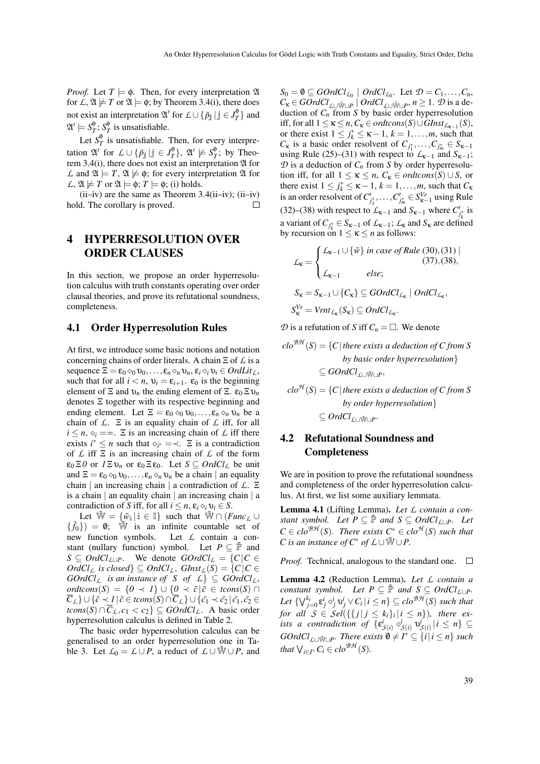*Proof.* Let  $T \models \phi$ . Then, for every interpretation  $\mathfrak A$ for  $\mathcal{L}, \mathfrak{A} \not\models T$  or  $\mathfrak{A} \models \phi$ ; by Theorem 3.4(i), there does not exist an interpretation  $\mathfrak{A}'$  for  $\mathcal{L} \cup \{ \tilde{p}_j \mid j \in J_T^{\phi}$  $_T^{\phi}$  } and  $\mathfrak{A}'\models S_{\mathcal{I}}^{\phi}$  $T$ <sup> $\phi$ </sup>;  $S_T^{\phi}$  $T$ <sup> $\psi$ </sup> is unsatisfiable.

Let *S* φ  $T<sub>T</sub><sup>\phi</sup>$  is unsatisfiable. Then, for every interpretation  $\mathfrak{A}'$  for  $\mathcal{L} \cup {\{\tilde{p}_j \mid j \in J\}}_T^{\phi}$  $\{G_T^{\phi}\}, \mathfrak{A}' \not\models S_T^{\phi}$  $T$ <sup> $\psi$ </sup>; by Theorem 3.4(i), there does not exist an interpretation  $\mathfrak A$  for *L* and  $\mathfrak{A} \models T$ ,  $\mathfrak{A} \not\models \phi$ ; for every interpretation  $\mathfrak{A}$  for  $\mathcal{L}, \mathfrak{A} \not\models T$  or  $\mathfrak{A} \models \phi; T \models \phi;$  (i) holds.

 $(ii-iv)$  are the same as Theorem 3.4 $(ii-iv)$ ;  $(ii-iv)$ hold. The corollary is proved.  $\Box$ 

## 4 HYPERRESOLUTION OVER ORDER CLAUSES

In this section, we propose an order hyperresolution calculus with truth constants operating over order clausal theories, and prove its refutational soundness, completeness.

#### 4.1 Order Hyperresolution Rules

At first, we introduce some basic notions and notation concerning chains of order literals. A chain Ξ of *L* is a sequence  $\Xi = \varepsilon_0 \otimes_0 \upsilon_0, \ldots, \varepsilon_n \otimes_n \upsilon_n, \varepsilon_i \otimes_i \upsilon_i \in OrdLit_L$ , such that for all  $i < n$ ,  $v_i = \varepsilon_{i+1}$ .  $\varepsilon_0$  is the beginning element of  $\Xi$  and  $\nu_n$  the ending element of  $\Xi$ .  $\varepsilon_0 \Xi \nu_n$ denotes Ξ together with its respective beginning and ending element. Let  $\Xi = \varepsilon_0 \otimes_0 v_0, \ldots, \varepsilon_n \otimes_n v_n$  be a chain of *L*. Ξ is an equality chain of *L* iff, for all  $i \leq n, \, \diamond_i = \pm$ .  $\Xi$  is an increasing chain of  $\mathcal L$  iff there exists  $i^* \leq n$  such that  $\diamond_{i^*} = \prec$ . Ξ is a contradiction of *L* iff Ξ is an increasing chain of *L* of the form  $\varepsilon_0 \Xi$ *0* or  $I \Xi v_n$  or  $\varepsilon_0 \Xi \varepsilon_0$ . Let  $S \subseteq \text{Ord}Cl_L$  be unit and  $\Xi = \varepsilon_0 \otimes_0 \nu_0, \ldots, \varepsilon_n \otimes_n \nu_n$  be a chain | an equality chain | an increasing chain | a contradiction of *L*. Ξ is a chain  $\vert$  an equality chain  $\vert$  an increasing chain  $\vert$  a contradiction of *S* iff, for all  $i \leq n$ ,  $\varepsilon_i \diamond_i \upsilon_i \in S$ .

Let  $\widetilde{\mathbb{W}} = {\{\widetilde{w}_i \mid i \in \mathbb{I}\}}$  such that  $\widetilde{\mathbb{W}} \cap (Func_L \cup$  $\{\tilde{f}_0\}\$  = 0;  $\tilde{W}$  is an infinite countable set of new function symbols. Let *L* contain a constant (nullary function) symbol. Let  $P \subseteq \tilde{P}$  and *S* ⊆ *OrdCl*<sub>*L*∪*P*</sub>. We denote *GOrdCl*<sub>*L*</sub> = {*C*|*C* ∈  $OrdCl_{\mathcal{L}}$  *is closed*}  $\subseteq OrdCl_{\mathcal{L}}$ ,  $GInst_{\mathcal{L}}(S) = \{C | C \in$ *GOrdCl*<sub>*L*</sub> *is an instance of S of*  $\mathcal{L}$ }  $\subseteq$  *GOrdCl*<sub>*L*</sub>, *ordtcons*(*S*) = { $0$  ≺ *I*} ∪ { $0$  ≺  $\bar{c}$ | $\bar{c}$  ∈ *tcons*(*S*) ∩  $\overline{C}_L$ } ∪ { $\overline{c}$   $\prec$  *1* |  $\overline{c}$  ∈ *tcons*(*S*) ∩  $\overline{C}_L$ } ∪ { $\overline{c_1}$   $\prec$   $\overline{c_2}$  |  $\overline{c_1}$ ,  $\overline{c_2}$  ∈ *tcons*(*S*) ∩  $\overline{C}_L$ , *c*<sub>1</sub> < *c*<sub>2</sub>} ⊆ *GOrdCl<sub>L</sub>*. A basic order hyperresolution calculus is defined in Table 2.

The basic order hyperresolution calculus can be generalised to an order hyperresolution one in Table 3. Let  $L_0 = L \cup P$ , a reduct of  $L \cup \overline{W} \cup P$ , and

 $S_0 = \emptyset \subseteq \text{GOrd}\text{Cl}_{L_0} \mid \text{Ord}\text{Cl}_{L_0}$ . Let  $\mathcal{D} = C_1, \ldots, C_n$ ,  $C_k \in \text{GOrd}_{\text{L}\cup\text{W}\cup\text{P}} \mid \text{Ord}_{\text{L}\cup\text{W}\cup\text{P}}$ ,  $n \geq 1$ .  $\mathcal D$  is a deduction of *C<sup>n</sup>* from *S* by basic order hyperresolution iff, for all  $1 \le \kappa \le n$ ,  $C_{\kappa} \in \text{ordtcons}(S) \cup \text{GInst}_{L_{\kappa-1}}(S)$ , or there exist  $1 \le j_k^* \le \kappa - 1$ ,  $k = 1, \ldots, m$ , such that  $C_k$  is a basic order resolvent of  $C_{j_1^*}, \ldots, C_{j_m^*} \in S_{k-1}$ using Rule (25)–(31) with respect to  $\mathcal{L}_{K-1}$  and  $S_{K-1}$ ;  $\mathcal{D}$  is a deduction of  $C_n$  from *S* by order hyperresolution iff, for all  $1 \leq \kappa \leq n$ ,  $C_{\kappa} \in \text{ordtcons}(S) \cup S$ , or there exist  $1 \le j_k^* \le \kappa - 1$ ,  $k = 1, \ldots, m$ , such that  $C_k$ is an order resolvent of  $C'_{j_1^*}, \ldots, C'_{j_m^*} \in S^{Vr}_{\kappa-1}$  using Rule (32)–(38) with respect to  $L_{\kappa-1}$  and  $S_{\kappa-1}$  where  $C'_{j_k^*}$  is a variant of  $C_{j_k^*} \in S_{k-1}$  of  $\mathcal{L}_{k-1}$ ;  $\mathcal{L}_k$  and  $S_k$  are defined by recursion on  $1 \leq \kappa \leq n$  as follows:

$$
\mathcal{L}_{\kappa} = \begin{cases}\n\mathcal{L}_{\kappa-1} \cup \{\tilde{w}\} \text{ in case of Rule (30), (31)} \\
\mathcal{L}_{\kappa-1} \text{ else;} \\
\mathcal{S}_{\kappa} = S_{\kappa-1} \cup \{C_{\kappa}\} \subseteq \text{GOrdCl}_{\mathcal{L}_{\kappa}} \mid \text{OrdCl}_{\mathcal{L}_{\kappa}}, \\
S_{\kappa}^{Vr} = V r n t_{\mathcal{L}_{\kappa}}(S_{\kappa}) \subseteq \text{OrdCl}_{\mathcal{L}_{\kappa}}.\n\end{cases}
$$

 $\mathcal{D}$  is a refutation of *S* iff  $C_n = \square$ . We denote

$$
cloBB(S) = {C | there exists a deduction of C from Sby basic order hyperresolution}\subseteq GoldClLOWUP,
$$

 $clo^{\mathcal{H}}(S) = \{C \mid \text{there exists a deduction of } C \text{ from } S\}$ *by order hyperresolution*}  $\subseteq OrdCl_{\mathcal{L}\cup\tilde{\mathbb{W}}\cup P}$ .

## 4.2 Refutational Soundness and Completeness

We are in position to prove the refutational soundness and completeness of the order hyperresolution calculus. At first, we list some auxiliary lemmata.

Lemma 4.1 (Lifting Lemma). *Let L contain a constant symbol.* Let  $P \subseteq \tilde{P}$  *and*  $S \subseteq OrdCl_{\mathcal{L}\cup P}$ *. Let*  $C \in \text{clo}^{\mathcal{BH}}(S)$ *. There exists*  $C^* \in \text{clo}^{\mathcal{H}}(S)$  *such that C* is an instance of  $C^*$  of  $\mathcal{L} \cup \tilde{W} \cup P$ .

*Proof.* Technical, analogous to the standard one.  $\Box$ 

Lemma 4.2 (Reduction Lemma). *Let L contain a constant symbol.* Let  $P \subseteq \tilde{P}$  *and*  $S \subseteq OrdCl_{\mathcal{L}\cup P}$ *.* Let  $\{\bigvee_{j=0}^{k_i} \varepsilon_j^i \vee j_j \vee C_i \mid i \leq n\} \subseteq clo^{\mathcal{BH}}(S)$  such that *for all*  $S \in Sel(\{\{j \mid j \le k_i\}_i \mid i \le n\})$ , there ex*ists a contradiction of*  $\{\varepsilon^i_{\mathcal{S}(i)} \circ^i_{\mathcal{S}(i)} \mathsf{v}^i_{\mathcal{S}(i)} | i \leq n\} \subseteq$  $GOrdCl_{\mathcal{L}\cup\tilde{\mathbb{W}}\cup P}$ *. There exists*  $\emptyset \neq I^* \subseteq \{i \mid i \leq n\}$  *such that*  $\bigvee_{i \in I^*} C_i \in clo^{\mathcal{BH}}(S)$ *.*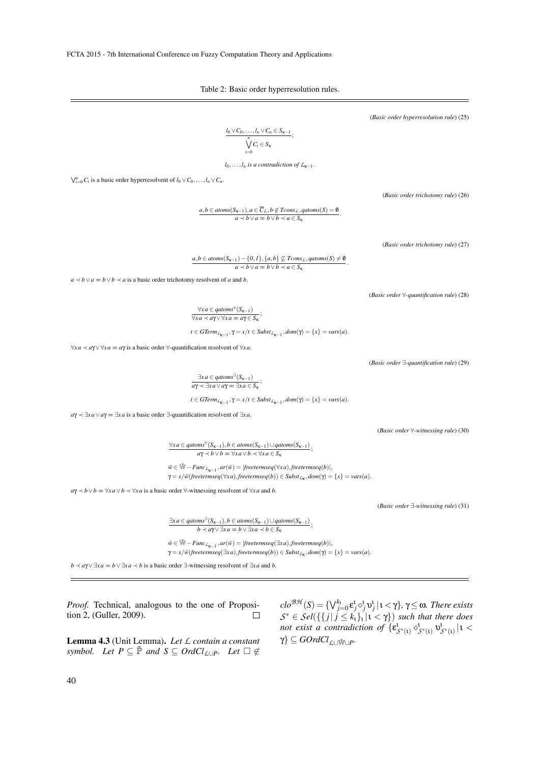Table 2: Basic order hyperresolution rules.

(*Basic order hyperresolution rule*) (25)  $l_0 \vee C_0, \ldots, l_n \vee C_n \in S_{\kappa-1}$  $\frac{n}{\sqrt{2}}$  $\bigvee_{i=0}$  *C<sub>i</sub>*  $\in$  *S<sub>k</sub>* ;  $l_0, \ldots, l_n$  *is a contradiction of*  $\mathcal{L}_{\kappa-1}$ .  $\bigvee_{i=0}^{n} C_i$  is a basic order hyperresolvent of  $l_0 \vee C_0, \ldots, l_n \vee C_n$ . (*Basic order trichotomy rule*) (26) *a*,*b* ∈ *atoms*( $S_{k-1}$ ),*a* ∈  $\overline{C}_L$ ,*b* ∉ *Tcons*<sub>*L*</sub>, *qatoms*( $S$ ) = 0  $\frac{a}{a}$   $\prec b \lor a = b \lor b \prec a \in S_{\kappa}$ . (*Basic order trichotomy rule*) (27)  $a, b \in atoms(S_{\kappa-1}) - \{0, 1\}, \{a, b\} \nsubseteq Tcons_{L}, qatoms(S) \neq 0$ *a*  $\prec$  *b*  $\lor$  *a*  $\equiv$  *b*  $\lor$  *b*  $\prec$  *a*  $\in$  *S*<sub>K</sub> .  $a \lt b \lor a = b \lor b \lt a$  is a basic order trichotomy resolvent of *a* and *b*. (*Basic order* ∀*-quantification rule*) (28)  $\forall x \in q \text{ atoms}^{\forall} (S_{\kappa-1})$  $\overline{\forall xa \prec a\gamma} \vee \forall xa = a\gamma \in S_{\kappa};$  $t \in GTerm_{L_{\kappa-1}}, \gamma = x/t \in Subst_{L_{\kappa-1}}, dom(\gamma) = \{x\} = vars(a).$ ∀*xa* ≺ *a*γ∨ ∀*xa* P *a*γ is a basic order ∀-quantification resolvent of ∀*xa*.  $\exists xa \in qatoms^{\exists}(S_{\kappa-1})$  $\frac{2x}{a\gamma} \leq \frac{2x}{a\gamma} \leq \frac{2x}{a\gamma} \leq \frac{2x}{a\gamma} \leq \frac{2x}{a\gamma} \leq \frac{2x}{a\gamma}$  $t \in GTerm_{L_{\kappa-1}}, \gamma = x/t \in Subst_{L_{\kappa-1}}, dom(\gamma) = \{x\} = vars(a).$  $a\gamma \prec \exists x a \lor a\gamma = \exists x a$  is a basic order ∃-quantification resolvent of  $\exists x a$ . (*Basic order* ∀*-witnessing rule*) (30) ∀*xa* ∈ *qatoms*<sup>∀</sup> (*S*κ−1),*b* ∈ *atoms*(*S*κ−1)∪*qatoms*(*S*κ−1) ;  $aγ < b ∨ b = ∀xa ∨ b √ ∀xa ∈ S_k$ 

> $\tilde{w}$  ∈  $\mathbb{W}$  – *Func*<sub>*L*<sub>K−1</sub></sub>, *ar*( $\tilde{w}$ ) = |*freetermseq*( $\forall$ *xa*), *freetermseq*(*b*)|,  $\gamma = x/\tilde{w}$ (*freetermseq*( $\forall xa$ ),*freetermseq*(*b*))  $\in$  *Subst*<sub>*L*k</sub>,  $dom(\gamma) = \{x\} = vars(a)$ .

 $a\gamma \prec b \lor b = \forall xa \lor b \prec \forall xa$  is a basic order  $\forall$ -witnessing resolvent of  $\forall xa$  and *b*.

(*Basic order* ∃*-witnessing rule*) (31)

 $b \prec a\gamma \lor \exists x a = b \lor \exists x a \prec b \in S_{\kappa};$  $\tilde{w} \in \tilde{\mathbb{W}}$  – *Func*<sub>*L*<sub>K−1</sub></sub>, *ar*( $\tilde{w}$ ) = |*freetermseq*( $\exists$ *xa*), *freetermseq*(*b*)|,  $\gamma = x/\tilde{w}$ (*freetermseq*( $\exists xa$ ),*freetermseq*(*b*))  $\in$  *Subst*<sub>*L*<sub>K</sub></sub>,  $dom(\gamma) = \{x\} = vars(a)$ .

∃*xa* ∈ *qatoms*<sup>∃</sup> (*S*κ−1),*b* ∈ *atoms*(*S*κ−1)∪*qatoms*(*S*κ−1)

*b*  $\prec$  *a*γ∨ ∃*xa*  $\equiv$  *b*  $\lor$  ∃*xa*  $\prec$  *b* is a basic order ∃-witnessing resolvent of ∃*xa* and *b*.

*Proof.* Technical, analogous to the one of Proposition 2, (Guller, 2009).  $\Box$ 

Lemma 4.3 (Unit Lemma). *Let L contain a constant symbol.* Let  $P \subseteq \tilde{P}$  and  $S \subseteq OrdCl_{\mathcal{L}\cup P}$ . Let  $\Box \notin$  *clo*<sup>*BH*</sup>(*S*) = { $\bigvee_{j=0}^{k_1}$ ε<sup>*j*</sup>,  $\circ$ <sup>*j*</sup>, **υ**<sup>*j*</sup>, |ι < γ}, γ≤ ω*. There exists*  $S^* \in \mathcal{S}el(\lbrace \lbrace j | j \leq k_1 \rbrace_1 | 1 < \gamma \rbrace)$  *such that there does not exist a contradiction of*  $\{ \varepsilon_{\mathcal{S}^*(t)}^1 \circ^1_{\mathcal{S}^*(t)} v^1_{\mathcal{S}^*(t)} \mid t$  $\gamma$ }  $\subseteq$  *GOrdCl*<sub>L∪Ŵ∪P</sub>.

$$
xa \prec a\gamma \lor \forall xa = a\gamma
$$
 is a basic order  $\forall$ -quantification resolvent of  $\forall xa$ .

(*Basic order* ∃*-quantification rule*) (29)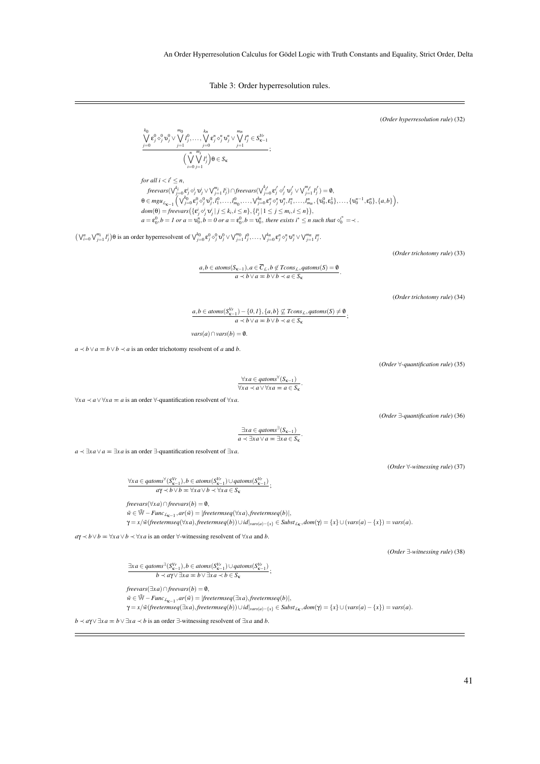Table 3: Order hyperresolution rules.

(*Order hyperresolution rule*) (32)

$$
\frac{\bigvee_{j=0}^{k_0} \mathbf{c}_j^0 \cdot \mathbf{c}_j^0 \vee \bigvee_{j=1}^{m_0} I_j^0, \ldots, \bigvee_{j=0}^{k_n} \mathbf{c}_j^n \cdot \mathbf{c}_j^n \vee \bigvee_{j=1}^{m_n} I_j^n \in S_{\kappa-1}^{V_r} \n\Big(\bigvee_{i=0}^{m} \bigvee_{j=1}^{m_i} i_j^i \Big) \mathbf{\theta} \in S_{\kappa} \n\Big|;
$$

*for all*  $i < i' \leq n$ , freevars $(\bigvee_{j=0}^{k_i} \varepsilon^i_j \circ^i_j \mathfrak{v}^i_j \vee \bigvee_{j=1}^{m_i} l^i_j) \cap \text{freevars}(\bigvee_{j=0}^{k'_{i'}} \varepsilon^{i'}_j \circ^{i'}_j \mathfrak{v}^i_j \vee \bigvee_{j=1}^{m_{i'}} l^i_j) = \emptyset$ ,  $\theta \in mgu_{\mathcal{L}_{\kappa-1}}(\bigvee_{j=0}^{k_0} \varepsilon_j^0 \diamond_j^0 v_j^0, l_1^0, \ldots, l_{m_0}^0, \ldots, \bigvee_{j=0}^{k_n} \varepsilon_j^n \diamond_j^n v_j^n, l_1^n, \ldots, l_{m_n}^n, \{v_0^0, \varepsilon_0^1\}, \ldots, \{v_0^{n-1}, \varepsilon_0^n\}, \{a, b\}\big),$  $dom(\theta) = \text{freevars}\left(\{\varepsilon^i_j \circ^i_j \mathbf{v}^i_j \mid j \leq k_i, i \leq n\}, \{l^i_j \mid 1 \leq j \leq m_i, i \leq n\}\right)$  $a = \varepsilon_0^0, b = 1 \text{ or } a = \mathfrak{v}_0^n, b = 0 \text{ or } a = \varepsilon_0^0, b = \mathfrak{v}_0^n$ , there exists  $i^* \leq n$  such that  $\circ_i^{i^*} = \prec$ .

 $(\bigvee_{i=0}^{n}\bigvee_{j=1}^{m_i} l_j^i)\theta$  is an order hyperresolvent of  $\bigvee_{j=0}^{k_0} \varepsilon_j^0 \otimes_j^0 v_j^0 \vee \bigvee_{j=1}^{m_0} l_j^0, \dots, \bigvee_{j=0}^{k_n} \varepsilon_j^n \otimes_j^n v_j^n \vee \bigvee_{j=1}^{m_n} l_j^n$ .

(*Order trichotomy rule*) (33)

*a*,*b* ∈ *atoms*( $S_{k-1}$ ),*a* ∈  $\overline{C}_L$ ,*b* ∉ *Tcons*<sub>*L*</sub>, *qatoms*( $S$ ) = **0**  $\frac{a}{a}$   $\prec b \lor a = b \lor b \prec a \in S_{\kappa}$ .

(*Order trichotomy rule*) (34)

 $a, b \in atoms(S_{\kappa-1}^{V_r}) - \{0,1\}, \{a,b\} \not\subseteq Tcons_{L}, qatoms(S) \neq 0,$ <br>  $\vdots$ *a*  $\prec$  *b*  $\lor$  *a*  $\equiv$  *b*  $\lor$  *b*  $\prec$  *a*  $\in$  *S*<sub>K</sub>

 $vars(a) \cap vars(b) = \emptyset.$ 

 $a \lt b \lor a = b \lor b \lt a$  is an order trichotomy resolvent of *a* and *b*.

(*Order* ∀*-quantification rule*) (35)

 $\forall xa \in qatoms$ <sup>∀</sup> $(S_{\kappa-1})$  $\overline{\forall x a \prec a \vee \forall x a ≡ a \in S_{\kappa}}$ 

.

 $\forall xa \prec a \lor \forall xa = a$  is an order  $\forall$ -quantification resolvent of  $\forall xa$ .

(*Order* ∃*-quantification rule*) (36)

 $\exists xa \in qatoms^{\exists}(S_{\kappa-1})$ *a* ≺ ∃*xa*∨*a* P ∃*xa* ∈ *S*<sup>κ</sup> .

*a*  $\prec \exists x a \lor a = \exists x a$  is an order ∃-quantification resolvent of  $\exists x a$ .

(*Order* ∀*-witnessing rule*) (37)

 $\forall xa \in qatoms^{\forall} (S^{Vr}_{\kappa-1}), b \in atoms(S^{Vr}_{\kappa-1}) \cup qatoms(S^{Vr}_{\kappa-1})$  $a\gamma \prec b \lor b = \forall x a \lor b \prec \forall x a \in S_{\kappa}$ ;

 $freevars(\forall x a) \cap freevars(b) = \emptyset,$  $\tilde{w} \in \tilde{\mathbb{W}} - \text{Func}_{L_{\mathbf{K}-1}}, \text{ar}(\tilde{w}) = |\text{freetermseq}(\forall x a), \text{freetermseq}(b)|,$  $\gamma = x/\tilde{w}$ (freetermseq( $\forall xa$ ), freetermseq(b))  $\cup id|_{vars(a)-\{x\}} \in Subst_{L_K}, dom(\gamma) = \{x\} \cup (vars(a)-\{x\}) = vars(a)$ .

 $a\gamma \prec b \lor b = \forall xa \lor b \prec \forall xa$  is an order  $\forall$ -witnessing resolvent of  $\forall xa$  and *b*.

(*Order* ∃*-witnessing rule*) (38)

 $\exists xa \in qatoms^{\exists} (S_{\kappa-1}^{Vr}), b \in atoms(S_{\kappa-1}^{Vr}) \cup qatoms(S_{\kappa-1}^{Vr})$  $\frac{b}{b}$   $\prec a\gamma \lor \exists x a = b \lor \exists x a \prec b \in S_{\kappa}$ ;

 $freevars(\exists x a) \cap freevars(b) = \emptyset,$  $\tilde{w} \in \tilde{\mathbb{W}} - \text{Func}_{L_{\mathbf{K}-1}}, \text{ar}(\tilde{w}) = |\text{freetermseq}(\exists x a), \text{freetermseq}(b)|,$  $\gamma = x/\tilde{w}$ (freetermseq( $\exists xa$ ), freetermseq(b)) $\cup id|_{vars(a)-\{x\}} \in Subst_{L_{\mathbf{K}}}, dom(\gamma) = \{x\} \cup (vars(a)-\{x\}) = vars(a)$ .

*b*  $\prec$  *a*γ∨ ∃*xa* = *b*  $\lor$  ∃*xa*  $\prec$  *b* is an order ∃-witnessing resolvent of  $\exists$ *xa* and *b*.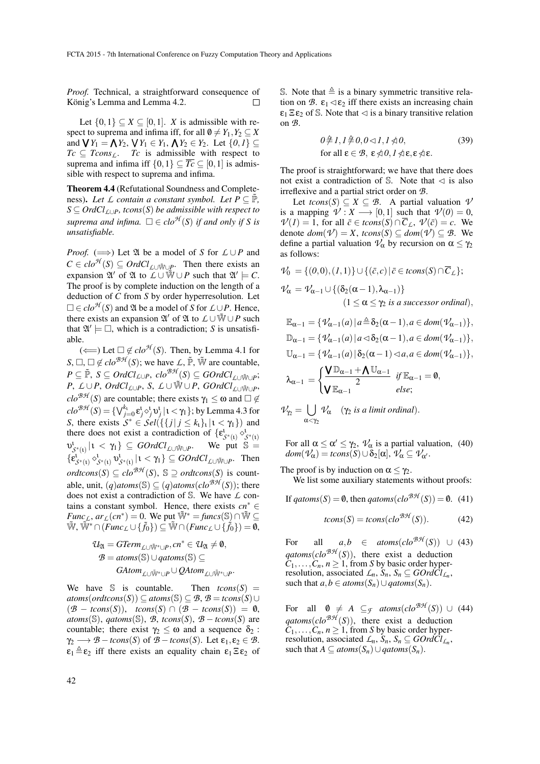*Proof.* Technical, a straightforward consequence of König's Lemma and Lemma 4.2.  $\Box$ 

Let  $\{0,1\} \subseteq X \subseteq [0,1]$ . *X* is admissible with respect to suprema and infima iff, for all  $\emptyset \neq Y_1, Y_2 \subseteq X$ and  $\bigvee Y_1 = \bigwedge Y_2$ ,  $\bigvee Y_1 \in Y_1$ ,  $\bigwedge Y_2 \in Y_2$ . Let  $\{0,1\} \subseteq$  $Tc \subseteq Tcons_{\mathcal{L}}$ . *Tc* is admissible with respect to suprema and infima iff  $\{0,1\} \subseteq \overline{T_c} \subseteq [0,1]$  is admissible with respect to suprema and infima.

Theorem 4.4 (Refutational Soundness and Completeness). Let  $\mathcal L$  *contain a constant symbol. Let*  $P \subseteq \tilde{P}$ *, S* ⊆ *OrdClL*∪*P, tcons*(*S*) *be admissible with respect to suprema and infima.*  $\square \in \mathit{clo}^{\mathcal{H}}(S)$  *if and only if* S *is unsatisfiable.*

*Proof.* ( $\implies$ ) Let  $\mathfrak A$  be a model of *S* for  $\mathcal L \cup P$  and  $C \in clo^{\mathcal{H}}(S) \subseteq OrdCl_{\mathcal{L} \cup \tilde{\mathbb{W}} \cup \mathcal{P}}$ . Then there exists an expansion  $\mathfrak{A}'$  of  $\mathfrak{A}$  to  $\mathcal{L} \cup \tilde{\mathbb{W}} \cup P$  such that  $\mathfrak{A}' \models C$ . The proof is by complete induction on the length of a deduction of *C* from *S* by order hyperresolution. Let  $\Box \in \mathit{clo}^{\mathcal{H}}(S)$  and  $\mathfrak A$  be a model of *S* for  $\mathcal L \cup P$ . Hence, there exists an expansion  $\mathfrak{A}'$  of  $\mathfrak{A}$  to  $L \cup \tilde{\mathfrak{W}} \cup P$  such that  $\mathfrak{A}' \models \Box$ , which is a contradiction; *S* is unsatisfiable.

( $\Longleftarrow$ ) Let  $□ \notin clo^{A}(S)$ . Then, by Lemma 4.1 for  $S, \Box, \Box \notin clo^{B\mathcal{H}}(S)$ ; we have *L*,  $\tilde{\mathbb{P}}, \tilde{\mathbb{W}}$  are countable,  $P \subseteq \widetilde{\mathbb{P}}, S \subseteq OrdCl_{\mathcal{L}\cup P}, clo^{\mathcal{BH}}(S) \subseteq GOrdCl_{\mathcal{L}\cup \widetilde{\mathbb{W}}\cup P};$ *P*, *L*∪*P*, *OrdCl<sub><i>L*∪*P*</sub>, *S*, *L*∪Ŵ∪*P*, *GOrdCl*<sub>*L*∪Ŵ∪*P*</sub>,  $clo^{\mathcal{BH}}(S)$  are countable; there exists  $\gamma_1 \leq \omega$  and  $\square \notin$ *clo<sup>BH</sup>* (*S*) = { $\bigvee_{j=0}^{k_1} \varepsilon_j^1 \circ_j^1 v_j^1 | 1 < \gamma_1$ }; by Lemma 4.3 for *S*, there exists  $S^* \in \mathcal{S}el(\{\{j \mid j \leq k_1\}_1 | 1 < \gamma_1\})$  and there does not exist a contradiction of  $\{\epsilon_{\mathcal{S}^*(1)}^1 \diamond_{\mathcal{S}^*(1)}^1$  $v^1_{\mathcal{S}^*(\iota)} | \iota \langle \gamma_1 \rangle \subseteq \text{GOrdCl}_{\text{L} \cup \tilde{\mathbb{W}} \cup \text{P}}$ We put  $\mathbb{S} =$  $\{\varepsilon_{\mathcal{S}^*(1)}^i \circ^{\mathsf{L}}_{\mathcal{S}^*(1)} \circ^{\mathsf{L}}_{\mathcal{S}^*(1)} | 1 \leq \gamma_1\} \subseteq \text{GOrdCl}_{\text{L} \cup \tilde{\mathbb{W}} \cup P}$ . Then  $ordtcons(S) \subseteq clo^{B\mathcal{H}}(S), S \supseteq ordtcons(S)$  is countable, unit,  $(q)$ *atoms*( $\mathcal{S}$ )  $\subseteq$   $(q)$ *atoms*( $clo^{\mathcal{BH}}(S)$ ); there does not exist a contradiction of S. We have *L* contains a constant symbol. Hence, there exists  $cn^* \in$  $Func_{\mathcal{L}}$ ,  $ar_{\mathcal{L}}(cn^*) = 0$ . We put  $\widetilde{\mathbb{W}}^* = \text{funcs}(\mathbb{S}) \cap \widetilde{\mathbb{W}} \subseteq$  $\widetilde{\mathbb{W}}, \widetilde{\mathbb{W}}^* \cap (Func_{\mathcal{L}} \cup \{\tilde{f}_0\}) \subseteq \widetilde{\mathbb{W}} \cap (Func_{\mathcal{L}} \cup \{\tilde{f}_0\}) = \emptyset,$ 

$$
\mathcal{U}_{\mathfrak{A}} = GTerm_{\mathcal{L} \cup \widetilde{\mathbb{W}}^* \cup P}, cn^* \in \mathcal{U}_{\mathfrak{A}} \neq \emptyset,
$$
  

$$
\mathcal{B} = atoms(\mathbb{S}) \cup qatoms(\mathbb{S}) \subseteq
$$
  

$$
GAtom_{\mathcal{L} \cup \widetilde{\mathbb{W}}^* \cup P} \cup QAtom_{\mathcal{L} \cup \widetilde{\mathbb{W}}^* \cup P}.
$$

We have S is countable. Then  $tcons(S) =$  $atoms(ordtcons(S)) ⊆ atoms(S) ⊆ B, B = tcons(S) ∪$  $(\mathcal{B} - \text{tcons}(S)), \text{tcons}(S) \cap (\mathcal{B} - \text{tcons}(S)) = \emptyset,$  $atoms(S)$ ,  $qatoms(S)$ ,  $B$ ,  $tcons(S)$ ,  $B - tcons(S)$  are countable; there exist  $\gamma_2 \leq \omega$  and a sequence  $\delta_2$ :  $\gamma_2 \longrightarrow \mathcal{B} - tcons(S)$  of  $\mathcal{B} - tcons(S)$ . Let  $\varepsilon_1, \varepsilon_2 \in \mathcal{B}$ .  $\varepsilon_1 \triangleq \varepsilon_2$  iff there exists an equality chain  $\varepsilon_1 \Xi \varepsilon_2$  of S. Note that  $\triangleq$  is a binary symmetric transitive relation on *B*.  $\varepsilon_1 \triangleleft \varepsilon_2$  iff there exists an increasing chain  $\epsilon_1 \, \Xi \, \epsilon_2$  of S. Note that  $\triangleleft$  is a binary transitive relation on *B*.

$$
0 \neq 1, 1 \neq 0, 0 \le 1, 1 \nless 0,
$$
  
for all  $\varepsilon \in \mathcal{B}$ ,  $\varepsilon \nless 0, 1 \nless \varepsilon \nless \varepsilon \nless 0$ . (39)

The proof is straightforward; we have that there does not exist a contradiction of  $\mathbb{S}$ . Note that  $\triangleleft$  is also irreflexive and a partial strict order on *B*.

Let  $tcons(S) \subseteq X \subseteq B$ . A partial valuation  $\mathcal V$ is a mapping  $\mathcal{V}: X \longrightarrow [0,1]$  such that  $\mathcal{V}(0) = 0$ ,  $V(I) = 1$ , for all  $\bar{c} \in tcons(S) \cap \bar{C}_L$ ,  $V(\bar{c}) = c$ . We denote  $dom(\mathcal{V}) = X$ ,  $tcons(S) \subseteq dom(\mathcal{V}) \subseteq \mathcal{B}$ . We define a partial valuation  $\mathcal{V}_{\alpha}$  by recursion on  $\alpha \leq \gamma_2$ as follows:

$$
\mathcal{V}_0 = \{ (0,0), (1,1) \} \cup \{ (\bar{c}, c) \mid \bar{c} \in tcons(S) \cap \overline{C}_L \};
$$
  

$$
\mathcal{V}_\alpha = \mathcal{V}_{\alpha-1} \cup \{ (\delta_2(\alpha-1), \lambda_{\alpha-1}) \}
$$
  

$$
(1 \le \alpha \le \gamma_2 \text{ is a successor ordinal}),
$$

$$
\mathbb{E}_{\alpha-1} = \{ \mathcal{V}_{\alpha-1}(a) \mid a \triangleq \delta_2(\alpha - 1), a \in dom(\mathcal{V}_{\alpha-1}) \},
$$
  

$$
\mathbb{D}_{\alpha-1} = \{ \mathcal{V}_{\alpha-1}(a) \mid a \le \delta_2(\alpha - 1), a \in dom(\mathcal{V}_{\alpha-1}) \},
$$
  

$$
\mathbb{U}_{\alpha-1} = \{ \mathcal{V}_{\alpha-1}(a) \mid \delta_2(\alpha - 1) \le a, a \in dom(\mathcal{V}_{\alpha-1}) \},
$$
  

$$
\lambda_{\alpha-1} = \begin{cases} \sqrt{\mathbb{D}_{\alpha-1} + \Lambda \mathbb{U}_{\alpha-1}} & \text{if } \mathbb{E}_{\alpha-1} = 0, \\ \sqrt{\mathbb{E}_{\alpha-1}} & \text{else;} \end{cases}
$$

$$
\mathcal{V}_{\gamma_2} = \bigcup_{\alpha < \gamma_2} \mathcal{V}_{\alpha} \quad (\gamma_2 \text{ is a limit ordinal}).
$$

For all  $\alpha \leq \alpha' \leq \gamma_2$ ,  $\mathcal{V}_{\alpha}$  is a partial valuation, (40)  $dom(\mathcal{V}_{\alpha}) = tcons(S) \cup \delta_2[\alpha], \mathcal{V}_{\alpha} \subset \mathcal{V}_{\alpha'}$ .

The proof is by induction on  $\alpha \leq \gamma_2$ .

We list some auxiliary statements without proofs:

If  $qatoms(S) = 0$ , then  $qatoms(clo^{BH}(S)) = 0$ . (41)

$$
tcons(S) = tcons(cloBA(S)).
$$
 (42)

For all  $a,b \in atoms(clo^{\mathcal{BH}}(S)) \cup (43)$  $qatoms(clo^{BH}(S))$ , there exist a deduction  $C_1, \ldots, C_n, n \geq 1$ , from *S* by basic order hyperresolution, associated  $\mathcal{L}_n$ ,  $\mathcal{S}_n$ ,  $\mathcal{S}_n \subseteq \mathcal{G}\mathcal{O}rd\mathcal{C}l_{\mathcal{L}_n}$ , such that  $a, b \in atoms(S_n) \cup qatoms(S_n)$ .

For all  $\mathbf{0} \neq A \subseteq_{\mathcal{F}} \text{atoms}(clo^{\mathcal{BH}}(S)) \cup (44)$  $qatoms(clo^{BH}(S))$ , there exist a deduction  $C_1, \ldots, C_n, n \geq 1$ , from *S* by basic order hyperresolution, associated  $\mathcal{L}_n$ ,  $\mathcal{S}_n$ ,  $\mathcal{S}_n \subseteq \mathcal{G}\mathcal{O}rd\mathcal{C}l_{\mathcal{L}_n}$ , such that  $A \subseteq atoms(S_n) \cup qatoms(S_n)$ .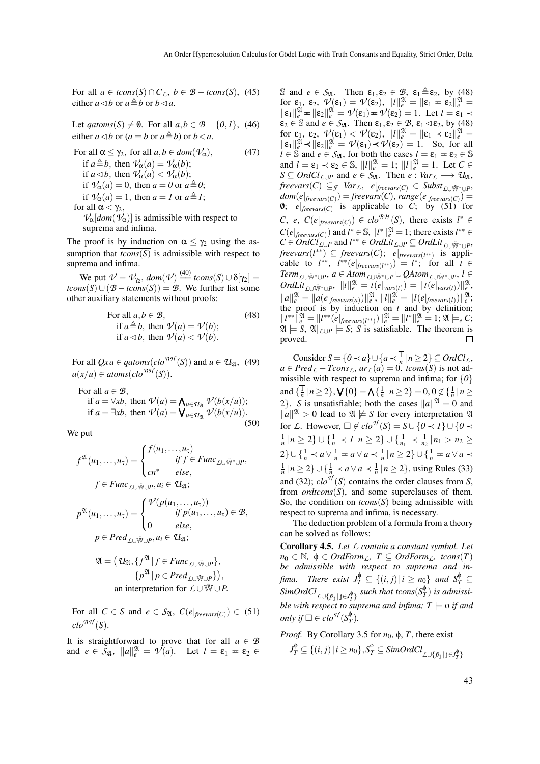For all  $a \in tcons(S) \cap \overline{C}_L$ ,  $b \in \mathcal{B} - tcons(S)$ , (45) either  $a \triangleleft b$  or  $a \triangleq b$  or  $b \triangleleft a$ .

Let  $qatoms(S) \neq \emptyset$ . For all  $a, b \in \mathcal{B} - \{0, 1\}$ , (46) either  $a \triangleleft b$  or  $(a = b \text{ or } a \triangleq b)$  or  $b \triangleleft a$ .

For all 
$$
\alpha \leq \gamma_2
$$
, for all  $a, b \in dom(\mathcal{V}_{\alpha})$ ,  
\nif  $a \triangleq b$ , then  $\mathcal{V}_{\alpha}(a) = \mathcal{V}_{\alpha}(b)$ ;  
\nif  $a \triangleleft b$ , then  $\mathcal{V}_{\alpha}(a) < \mathcal{V}_{\alpha}(b)$ ;  
\nif  $\mathcal{V}_{\alpha}(a) = 0$ , then  $a = 0$  or  $a \triangleq 0$ ;  
\nif  $\mathcal{V}_{\alpha}(a) = 1$ , then  $a = 1$  or  $a \triangleq 1$ ;  
\nfor all  $\alpha < \gamma_2$ ,  
\n $\mathcal{V}_{\alpha}[dom(\mathcal{V}_{\alpha})]$  is admissible with respect to  
\nsuprema and infima.

The proof is by induction on  $\alpha \leq \gamma_2$  using the assumption that  $\overline{tcons(S)}$  is admissible with respect to suprema and infima.

We put  $\mathcal{V} = \mathcal{V}_{\gamma_2}$ ,  $dom(\mathcal{V}) \stackrel{(40)}{=} \text{tcons}(S) \cup \delta[\gamma_2] =$  $tcons(S) \cup (B - tcons(S)) = B$ . We further list some other auxiliary statements without proofs:

For all 
$$
a, b \in \mathcal{B}
$$
,  
if  $a \triangleq b$ , then  $\mathcal{V}(a) = \mathcal{V}(b)$ ;  
if  $a \triangleleft b$ , then  $\mathcal{V}(a) < \mathcal{V}(b)$ .

For all  $Qxa \in qatoms(clo^{\mathcal{BH}}(S))$  and  $u \in \mathcal{U}_{\mathfrak{A}}$ , (49)  $a(x/u) \in atoms(clo^{BH}(S)).$ 

For all  $a \in \mathcal{B}$ , if  $a = \forall x b$ , then  $\mathcal{V}(a) = \bigwedge_{u \in \mathcal{U}_{\mathfrak{A}}} \mathcal{V}(b(x/u));$ if  $a = \exists x b$ , then  $\mathcal{V}(a) = \mathbf{V}_{u \in \mathcal{U}_{\mathfrak{A}}} \mathcal{V}(b(x/u))$ . (50)

We put

$$
f^{\mathfrak{A}}(u_{1},...,u_{\tau}) = \begin{cases} f(u_{1},...,u_{\tau}) & \text{if } f \in \text{Func}_{\text{L} \cup \mathfrak{W}^{*} \cup P}, \\ cn^{*} & \text{else}, \end{cases}
$$

$$
f \in \text{Func}_{\text{L} \cup \mathfrak{W} \cup P}, u_{i} \in \mathcal{U}_{\mathfrak{A}};
$$

$$
p^{\mathfrak{A}}(u_{1},...,u_{\tau}) = \begin{cases} \mathcal{V}(p(u_{1},...,u_{\tau})) & \text{if } p(u_{1},...,u_{\tau}) \in \mathcal{B}, \\ 0 & \text{else}, \end{cases}
$$

$$
p \in \text{Pred}_{\text{L} \cup \mathfrak{W} \cup P}, u_{i} \in \mathcal{U}_{\mathfrak{A}};
$$

$$
\mathfrak{A} = \left( \mathcal{U}_{\mathfrak{A}}, \{ f^{\mathfrak{A}} \mid f \in \mathit{Func}_{\mathit{L} \cup \mathcal{W} \cup P} \}, \{ p^{\mathfrak{A}} \mid p \in \mathit{Pred}_{\mathit{L} \cup \mathcal{W} \cup P} \} \right),
$$
\nan interpretation for

\n
$$
\mathcal{L} \cup \mathcal{W} \cup P.
$$

For all  $C \in S$  and  $e \in S_{\mathfrak{A}}, C(e|_{\text{freevars}(C)}) \in (51)$  $clo^{\mathcal{BH}}(S)$ .

It is straightforward to prove that for all  $a \in \mathcal{B}$ and  $e \in S_{\mathfrak{A}}, \|a\|_e^{\mathfrak{A}} = \mathcal{V}(a)$ . Let  $l = \varepsilon_1 = \varepsilon_2 \in$ 

S and  $e \in S_{\mathfrak{A}}$ . Then  $\varepsilon_1, \varepsilon_2 \in \mathcal{B}$ ,  $\varepsilon_1 \triangleq \varepsilon_2$ , by (48) for  $\varepsilon_1$ ,  $\varepsilon_2$ ,  $v'(\varepsilon_1) = v'(\varepsilon_2)$ ,  $||l||_e^{2l} = ||\varepsilon_1 - \varepsilon_2||_e^{2l} =$  $\|\varepsilon_1\|_e^{2\mathbf{I}} = \|\varepsilon_2\|_e^{2\mathbf{I}} = \mathcal{V}(\varepsilon_1) = \mathcal{V}(\varepsilon_2) = 1.$  Let  $l = \varepsilon_1 \prec$  $\varepsilon_2 \in \mathbb{S}$  and  $e \in S_{\mathfrak{A}}$ . Then  $\varepsilon_1, \varepsilon_2 \in \mathcal{B}$ ,  $\varepsilon_1 \triangleleft \varepsilon_2$ , by (48) for  $\varepsilon_1$ ,  $\varepsilon_2$ ,  $v'(\varepsilon_1) < v'(\varepsilon_2)$ ,  $||l||_e^{2l} = ||\varepsilon_1 \times \varepsilon_2||_e^{2l} =$  $\|\varepsilon_1\|_e^{2\mathbf{I}} \prec \|\varepsilon_2\|_e^{2\mathbf{I}} = \mathcal{V}(\varepsilon_1) \prec \mathcal{V}(\varepsilon_2) = 1$ . So, for all  $l \in \mathbb{S}$  and  $e \in S_{\mathfrak{A}}$ , for both the cases  $l = \varepsilon_1 = \varepsilon_2 \in \mathbb{S}$ and  $l = \varepsilon_1 \prec \varepsilon_2 \in \mathbb{S}$ ,  $||l||_e^{\mathfrak{A}} = 1$ ;  $||l||_e^{\mathfrak{A}} = 1$ . Let  $C \in$  $S \subseteq OrdCl_{\mathcal{L} \cup P}$  and  $e \in S_{\mathfrak{A}}$ . Then  $e : Var_{\mathcal{L}} \longrightarrow U_{\mathfrak{A}}$ ,  $\text{freevars}(C) \subseteq_{\mathcal{F}} \text{Var}_L, e|_{\text{freevars}(C)} \in \text{Subst}_{\text{f-UW}^* \cup \text{P}}$  $dom(e|_{freevars(C)}) = \text{freevars(C)}$ ,  $range(e|_{freevars(C)}) =$ 0;  $e|_{\text{freevars}(C)}$  is applicable to *C*; by (51) for  $C$ , *e*,  $C(e|_{\text{freevars}(C)}) \in \text{clo}^{\mathcal{BH}}(S)$ , there exists  $l^* \in$  $C(e|_{\text{freevars}(C)})$  and  $l^* \in \mathbb{S}, ||l^*||_e^{2l} = 1$ ; there exists  $l^{**} \in$  $C \in OrdCl_{\mathcal{L} \cup P}$  and  $l^{**} \in OrdLit_{\mathcal{L} \cup P} \subseteq OrdLit_{\mathcal{L} \cup \tilde{\mathbb{W}}^* \cup P}$ *freevars*(*l* ∗∗) ⊆ *freevars*(*C*); *e*|*freevars*(*<sup>l</sup>* ∗∗) is applicable to  $l^{**}$ ,  $l^{**}(e|_{\text{freevars}(l^{**})}) = l^*$ ; for all  $t \in$  $Term_{\mathcal{L} \cup \tilde{\mathbb{W}}^* \cup P}$ ,  $a \in Atom_{\mathcal{L} \cup \tilde{\mathbb{W}}^* \cup P} \cup QAtom_{\mathcal{L} \cup \tilde{\mathbb{W}}^* \cup P}$ ,  $l \in \mathbb{R}$  $OrdLit_{\mathcal{L}\cup\tilde{W}^*\cup P}$ ,  $||t||_e^{2t} = t(e|_{vars(t)}) = ||t(e|_{vars(t)})||_e^{2t}$  $||a||_e^{\mathfrak{A}} = ||a(e|_{freevars(a)})||_e^{\mathfrak{A}}, ||l||_e^{\mathfrak{A}} = ||l(e|_{freevars(l)})||_e^{\mathfrak{A}};$ the proof is by induction on *t* and by definition;  $||l^*||_e^2 = ||l^{**}(e|_{\text{freevars}(l^{**})})||_e^2 = ||l^*||_e^2 = 1; \mathfrak{A} \models_e C;$  $\mathfrak{A} \models S$ ,  $\mathfrak{A}|_{\mathcal{L} \cup P} \models S$ ; *S* is satisfiable. The theorem is proved.

Consider  $S = \{0 \prec a\} \cup \{a \prec \frac{1}{n} | n \geq 2\} \subseteq OrdCl_L$ ,  $a \in Pred_{\mathcal{L}} - Tcons_{\mathcal{L}}$ ,  $ar_{\mathcal{L}}(a) = 0$ . *tcons*(*S*) is not admissible with respect to suprema and infima; for {*0*} and  $\{\frac{1}{n} | n \ge 2\}$ ,  $\mathsf{V}\{0\} = \mathsf{\Lambda}\{\frac{1}{n} | n \ge 2\} = 0$ ,  $0 \notin \{\frac{1}{n} | n \ge 2\}$ 2). *S* is unsatisfiable; both the cases  $||a||^{\mathfrak{A}} = 0$  and  $\|a\|^{\mathfrak{A}}>0$  lead to  $\mathfrak{A} \not\models S$  for every interpretation  $\mathfrak A$ for *L*. However,  $\Box \notin clo^{\mathcal{H}}(S) = S \cup \{0 \prec 1\} \cup \{0 \prec$  $\frac{1}{n}$ | $n \geq 2$ }  $\cup$  { $\frac{1}{n} \prec I | n \geq 2$ }  $\cup$  { $\frac{1}{n_1} \prec \frac{1}{n_2} | n_1 > n_2 \geq$ 2}  $\bigcup \{\frac{1}{n} \prec a \vee \frac{1}{n} = a \vee a \prec \frac{1}{n} | n \geq 2\} \cup \{\frac{1}{n} = a \vee a \prec \frac{1}{n} | n \geq 2\} \cup \{\frac{1}{n} = a \vee a \prec \frac{1}{n} | n \geq 2\}$ , using Rules (33) and (32);  $clo^{\mathcal{H}}(S)$  contains the order clauses from *S*, from  $\text{ordtcons}(S)$ , and some superclauses of them. So, the condition on  $tcons(S)$  being admissible with respect to suprema and infima, is necessary.

The deduction problem of a formula from a theory can be solved as follows:

Corollary 4.5. *Let L contain a constant symbol. Let*  $n_0 \in \mathbb{N}$ ,  $\phi \in \text{OrdForm}_L$ ,  $T \subseteq \text{OrdForm}_L$ , tcons $(T)$ *be admissible with respect to suprema and infima. There exist*  $J_T^{\phi} \subseteq \{(i, j) | i \ge n_0\}$  *and*  $S_T^{\phi} \subseteq$  $SimOrdCl_{\mathcal{L}\cup \{\tilde{p}_{\hat{\jmath}} \mid \bold{j} \in J_T^{\phi}\}}$  such that tcons $(S_T^{\phi})$ *T* ) *is admissible with respect to suprema and infima;*  $T \models \phi$  *if and only if*  $\Box \in clo^{\mathcal{H}}(S^{\phi}_{\mathcal{I}})$ *T* )*.*

*Proof.* By Corollary 3.5 for  $n_0$ ,  $\phi$ , *T*, there exist

$$
J_T^{\phi} \subseteq \{(i,j) \mid i \geq n_0\}, S_T^{\phi} \subseteq SimOrdCl_{\mathcal{L} \cup \{\tilde{p}_j \mid j \in J_T^{\phi}\}}
$$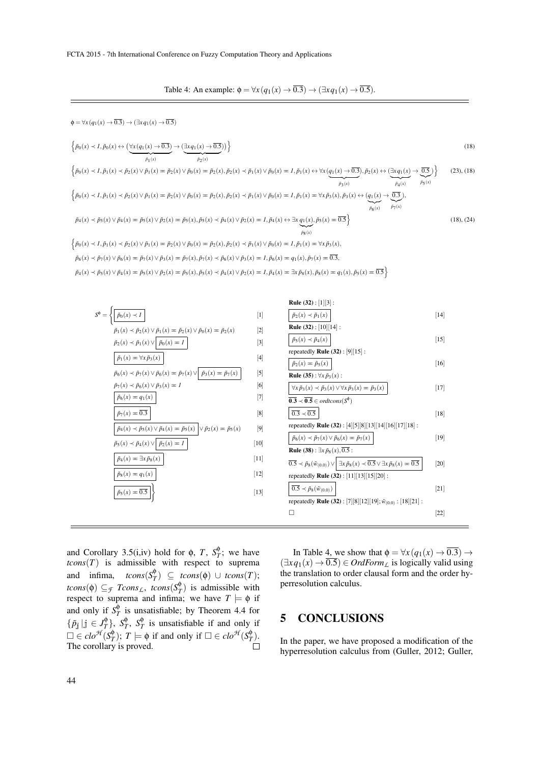Table 4: An example:  $\phi = \forall x (q_1(x) \rightarrow \overline{0.3}) \rightarrow (\exists x q_1(x) \rightarrow \overline{0.5})$ .

$$
\phi = \forall x (q_1(x) \to 0.3) \to (\exists x q_1(x) \to 0.5)
$$
\n
$$
\left\{ \bar{p}_0(x) \prec I, \bar{p}_0(x) \leftrightarrow (\forall x (q_1(x) \to 0.3) \to (\exists x q_1(x) \to 0.5)) \right\}
$$
\n
$$
\left\{ \bar{p}_0(x) \prec I, \bar{p}_1(x) \prec \bar{p}_2(x) \lor \bar{p}_1(x) = \bar{p}_2(x) \lor \bar{p}_0(x) = \bar{p}_2(x), \bar{p}_2(x) \prec \bar{p}_1(x) \lor \bar{p}_0(x) = I, \bar{p}_1(x) \leftrightarrow \forall x (q_1(x) \to 0.3), \bar{p}_2(x) \leftrightarrow (\exists x q_1(x) \to \overline{0.5}) \right\}
$$
\n
$$
\left\{ \bar{p}_0(x) \prec I, \bar{p}_1(x) \prec \bar{p}_2(x) \lor \bar{p}_1(x) = \bar{p}_2(x) \lor \bar{p}_0(x) = \bar{p}_2(x), \bar{p}_2(x) \prec \bar{p}_1(x) \lor \bar{p}_0(x) = I, \bar{p}_1(x) = \forall x \bar{p}_3(x), \bar{p}_3(x) \leftrightarrow (q_1(x) \to \overline{0.3}),
$$
\n
$$
\bar{p}_4(x) \prec \bar{p}_5(x) \lor \bar{p}_4(x) = \bar{p}_5(x) \lor \bar{p}_2(x) = \bar{p}_5(x), \bar{p}_5(x) \prec \bar{p}_4(x) \lor \bar{p}_2(x) = I, \bar{p}_4(x) \leftrightarrow \exists x (q_1(x), \bar{p}_5(x) = \overline{0.3})
$$
\n
$$
\left\{ \bar{p}_0(x) \prec I, \bar{p}_1(x) \prec \bar{p}_2(x) \lor \bar{p}_1(x) = \bar{p}_2(x), \bar{p}_5(x) \prec \bar{p}_4(x) \lor \bar{p}_2(x) = I, \bar{p}_4(x) \leftrightarrow \exists x (q_1(x), \bar{p}_5(x) = \overline{0.3}) \right\}
$$
\n
$$
\left\{ \bar{p}_0(x) \prec I, \bar{p}_1(x) \prec \bar{p}_2(x) \lor \bar{p}_1(x) = \bar{p}_2(x), \
$$

| $S^{\varphi} = \{   \tilde{p}_0(x) \prec I  $                                                                        | $[1] % \includegraphics[width=0.9\columnwidth]{figures/fig_2b.pdf} \caption{The graph $\mathcal{N}_1$ is a function of the parameter $\mathcal{N}_1$ and the number of order $p$-error of the parameter $\mathcal{N}_1$ and the number of order $p$-error of the parameter $\mathcal{N}_2$ and the number of order $p$-error of the parameter $\mathcal{N}_1$ and the number of order $p$-error of the parameter $\mathcal{N}_1$ and the number of order $p$-error of the parameter $\mathcal{N}_2$.} \label{fig:1}$ | $\bar{p}_2(x) \prec \bar{p}_1(x)$                                                                                                                             | 14     |
|----------------------------------------------------------------------------------------------------------------------|----------------------------------------------------------------------------------------------------------------------------------------------------------------------------------------------------------------------------------------------------------------------------------------------------------------------------------------------------------------------------------------------------------------------------------------------------------------------------------------------------------------------|---------------------------------------------------------------------------------------------------------------------------------------------------------------|--------|
| $\tilde{p}_1(x) \prec \tilde{p}_2(x) \vee \tilde{p}_1(x) = \tilde{p}_2(x) \vee \tilde{p}_0(x) = \tilde{p}_2(x)$      | $[2]$                                                                                                                                                                                                                                                                                                                                                                                                                                                                                                                | <b>Rule</b> (32) : $[10][14]$ :                                                                                                                               |        |
| $\tilde{p}_2(x) \prec \tilde{p}_1(x) \vee \mid \tilde{p}_0(x) = 1$                                                   | $[3]$                                                                                                                                                                                                                                                                                                                                                                                                                                                                                                                | $\tilde{p}_5(x) \prec \tilde{p}_4(x)$                                                                                                                         | $[15]$ |
| $\tilde{p}_1(x) = \forall x \, \tilde{p}_3(x)$                                                                       | $[4]$                                                                                                                                                                                                                                                                                                                                                                                                                                                                                                                | repeatedly <b>Rule</b> $(32)$ : [9][15]:                                                                                                                      |        |
|                                                                                                                      |                                                                                                                                                                                                                                                                                                                                                                                                                                                                                                                      | $\tilde{p}_2(x) = \tilde{p}_5(x)$                                                                                                                             | $[16]$ |
| $\tilde{p}_6(x) \prec \tilde{p}_7(x) \vee \tilde{p}_6(x) = \tilde{p}_7(x) \vee  \tilde{p}_3(x) = \tilde{p}_7(x)$     | $[5]$                                                                                                                                                                                                                                                                                                                                                                                                                                                                                                                | <b>Rule</b> (35) : $\forall x \tilde{p}_3(x)$ :                                                                                                               |        |
| $\tilde{p}_7(x) \prec \tilde{p}_6(x) \vee \tilde{p}_3(x) = 1$                                                        | [6]                                                                                                                                                                                                                                                                                                                                                                                                                                                                                                                  | $\forall x \tilde{p}_3(x) \prec \tilde{p}_3(x) \vee \forall x \tilde{p}_3(x) = \tilde{p}_3(x)$                                                                | $[17]$ |
| $\tilde{p}_6(x) = q_1(x)$                                                                                            | $[7]$                                                                                                                                                                                                                                                                                                                                                                                                                                                                                                                | $\overline{0.3} \prec \overline{0.5} \in \text{ordtcons}(S^{\phi})$                                                                                           |        |
| $\tilde{p}_7(x) = \overline{0.3}$                                                                                    | [8]                                                                                                                                                                                                                                                                                                                                                                                                                                                                                                                  | $\overline{0.3} \prec \overline{0.5}$                                                                                                                         | $[18]$ |
| $\tilde{p}_4(x) \prec \tilde{p}_5(x) \vee \tilde{p}_4(x) = \tilde{p}_5(x) \mid \vee \tilde{p}_2(x) = \tilde{p}_5(x)$ | $[9]$                                                                                                                                                                                                                                                                                                                                                                                                                                                                                                                | repeatedly <b>Rule</b> (32): [4][5][8][13][14][16][17][18]:                                                                                                   |        |
| $\tilde{p}_5(x) \prec \tilde{p}_4(x) \vee \mid \tilde{p}_2(x) = 1$                                                   | [10]                                                                                                                                                                                                                                                                                                                                                                                                                                                                                                                 | $\tilde{p}_6(x) \prec \tilde{p}_7(x) \vee \tilde{p}_6(x) = \tilde{p}_7(x)$                                                                                    | $[19]$ |
|                                                                                                                      |                                                                                                                                                                                                                                                                                                                                                                                                                                                                                                                      | <b>Rule</b> (38): $\exists x \tilde{p}_8(x), 0.5$ :                                                                                                           |        |
| $\tilde{p}_4(x) = \exists x \tilde{p}_8(x)$                                                                          | $[11]$                                                                                                                                                                                                                                                                                                                                                                                                                                                                                                               | $\overline{0.5} \prec \tilde{p}_8(\tilde{w}_{(0,0)}) \vee \vert \exists x \tilde{p}_8(x) \prec \overline{0.5} \vee \exists x \tilde{p}_8(x) = \overline{0.5}$ | $[20]$ |
| $\tilde{p}_8(x) = q_1(x)$                                                                                            | $[12]$                                                                                                                                                                                                                                                                                                                                                                                                                                                                                                               | repeatedly <b>Rule</b> (32): $[11][13][15][20]$ :                                                                                                             |        |
| $\tilde{p}_5(x) = \overline{0.5}$                                                                                    | $[13]$                                                                                                                                                                                                                                                                                                                                                                                                                                                                                                               | $\overline{0.5} \prec \tilde{p}_8(\tilde{w}_{(0,0)})$                                                                                                         | $[21]$ |
|                                                                                                                      |                                                                                                                                                                                                                                                                                                                                                                                                                                                                                                                      | repeatedly <b>Rule</b> (32): [7][8][12][19]; $\tilde{w}_{(0,0)}$ : [18][21]:                                                                                  |        |
|                                                                                                                      |                                                                                                                                                                                                                                                                                                                                                                                                                                                                                                                      | $\mathsf{L}$                                                                                                                                                  | $[22]$ |

and Corollary 3.5(i,iv) hold for  $\phi$ , *T*,  $S_{7}^{\phi}$  $T$ <sup> $\psi$ </sup>; we have *tcons*(*T*) is admissible with respect to suprema and infima,  $tcons(S_T^{\phi})$  $T(T) \subseteq \text{tcons}(\phi) \cup \text{tcons}(T);$  $tcons(\phi) \subseteq$ *f*  $Tcons_L$ ,  $tcons(S_T^{\phi})$  $T$ <sup> $(\frac{\varphi}{T})$  is admissible with</sup> respect to suprema and infima; we have  $T \models \phi$  if and only if *S* φ  $T<sub>T</sub><sup>\phi</sup>$  is unsatisfiable; by Theorem 4.4 for  $\{\tilde{p}_\mathbf{j}\,|\, \mathbf{j}\in J_T^\Phi$  $\{f_T^{\Phi}\}, S_T^{\Phi}$  $T$ <sup> $\phi$ </sup>,  $S_T^{\phi}$  $T$ <sup> $\frac{1}{T}$ </sup> is unsatisfiable if and only if  $\square \in clo^{\mathcal{H}}(S_T^{\phi})$  $(T/T)$ ;  $T \models \phi$  if and only if  $\Box \in clo^{\mathcal{H}}(S_T^{\phi})$  $_T^{\varphi}$ ). The corollary is proved.

In Table 4, we show that  $\phi = \forall x (q_1(x) \rightarrow 0.3) \rightarrow$  $(\exists xq_1(x) \rightarrow \overline{0.5}) \in \text{OrdForm}_L$  is logically valid using the translation to order clausal form and the order hyperresolution calculus.

## 5 CONCLUSIONS

In the paper, we have proposed a modification of the hyperresolution calculus from (Guller, 2012; Guller,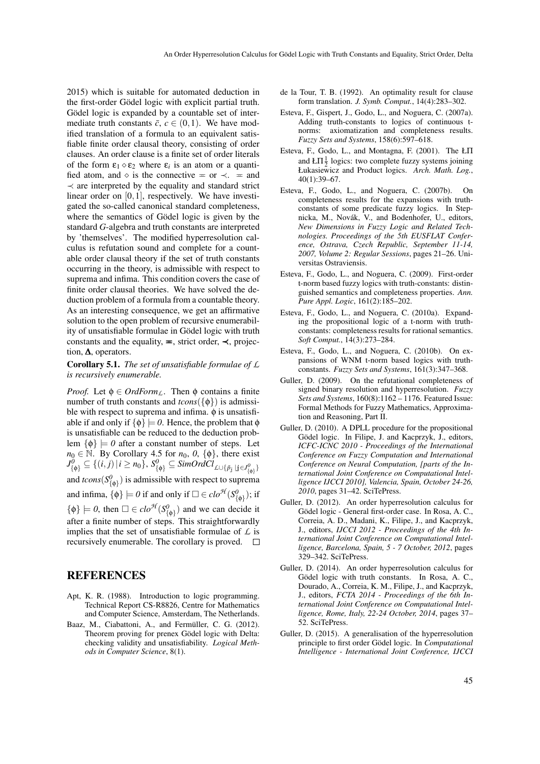2015) which is suitable for automated deduction in the first-order Gödel logic with explicit partial truth. Gödel logic is expanded by a countable set of intermediate truth constants  $\bar{c}$ ,  $c \in (0,1)$ . We have modified translation of a formula to an equivalent satisfiable finite order clausal theory, consisting of order clauses. An order clause is a finite set of order literals of the form  $\varepsilon_1 \diamond \varepsilon_2$  where  $\varepsilon_i$  is an atom or a quantified atom, and  $\Diamond$  is the connective  $\equiv$  or  $\prec$ .  $\equiv$  and  $\prec$  are interpreted by the equality and standard strict linear order on [0,1], respectively. We have investigated the so-called canonical standard completeness, where the semantics of Gödel logic is given by the standard *G*-algebra and truth constants are interpreted by 'themselves'. The modified hyperresolution calculus is refutation sound and complete for a countable order clausal theory if the set of truth constants occurring in the theory, is admissible with respect to suprema and infima. This condition covers the case of finite order clausal theories. We have solved the deduction problem of a formula from a countable theory. As an interesting consequence, we get an affirmative solution to the open problem of recursive enumerability of unsatisfiable formulae in Gödel logic with truth constants and the equality,  $\equiv$ , strict order,  $\prec$ , projection, ∆, operators.

#### Corollary 5.1. *The set of unsatisfiable formulae of L is recursively enumerable.*

*Proof.* Let  $\phi \in \text{OrdForm}_L$ . Then  $\phi$  contains a finite number of truth constants and  $tcons({\{\phi\}})$  is admissible with respect to suprema and infima.  $\phi$  is unsatisfiable if and only if  $\{\phi\} \models 0$ . Hence, the problem that  $\phi$ is unsatisfiable can be reduced to the deduction problem  $\{\phi\} \models 0$  after a constant number of steps. Let  $n_0 \in \mathbb{N}$ . By Corollary 4.5 for  $n_0$ ,  $\{0\}$ , there exist  $J^0_{\{\phi\}} \subseteq \{(i, j) | i \geq n_0\}, S^0_{\{\phi\}} \subseteq \text{SimOrd}Cl_{\text{L}\cup\{\tilde{p}_j | j \in J^0_{\{\phi\}}\}}$ and  $tcons(S^0_{\{\phi\}})$  is admissible with respect to suprema and infima,  $\{\phi\} \models 0$  if and only if  $\Box \in clo^{\mathcal{H}}(S^0_{\{\phi\}})$ ; if  $\{\phi\} \models 0$ , then  $\square \in clo^{\mathcal{H}}(S^0_{\{\phi\}})$  and we can decide it after a finite number of steps. This straightforwardly implies that the set of unsatisfiable formulae of *L* is recursively enumerable. The corollary is proved.  $\square$ 

### REFERENCES

- Apt, K. R. (1988). Introduction to logic programming. Technical Report CS-R8826, Centre for Mathematics and Computer Science, Amsterdam, The Netherlands.
- Baaz, M., Ciabattoni, A., and Fermüller, C. G. (2012). Theorem proving for prenex Gödel logic with Delta: checking validity and unsatisfiability. *Logical Methods in Computer Science*, 8(1).
- de la Tour, T. B. (1992). An optimality result for clause form translation. *J. Symb. Comput.*, 14(4):283–302.
- Esteva, F., Gispert, J., Godo, L., and Noguera, C. (2007a). Adding truth-constants to logics of continuous tnorms: axiomatization and completeness results. *Fuzzy Sets and Systems*, 158(6):597–618.
- Esteva, F., Godo, L., and Montagna, F. (2001). The ŁΠ and  $LT\frac{1}{2}$  logics: two complete fuzzy systems joining Łukasiewicz and Product logics. *Arch. Math. Log.*, 40(1):39–67.
- Esteva, F., Godo, L., and Noguera, C. (2007b). On completeness results for the expansions with truthconstants of some predicate fuzzy logics. In Stepnicka, M., Novák, V., and Bodenhofer, U., editors, *New Dimensions in Fuzzy Logic and Related Technologies. Proceedings of the 5th EUSFLAT Conference, Ostrava, Czech Republic, September 11-14, 2007, Volume 2: Regular Sessions*, pages 21–26. Universitas Ostraviensis.
- Esteva, F., Godo, L., and Noguera, C. (2009). First-order t-norm based fuzzy logics with truth-constants: distinguished semantics and completeness properties. *Ann. Pure Appl. Logic*, 161(2):185–202.
- Esteva, F., Godo, L., and Noguera, C. (2010a). Expanding the propositional logic of a t-norm with truthconstants: completeness results for rational semantics. *Soft Comput.*, 14(3):273–284.
- Esteva, F., Godo, L., and Noguera, C. (2010b). On expansions of WNM t-norm based logics with truthconstants. *Fuzzy Sets and Systems*, 161(3):347–368.
- Guller, D. (2009). On the refutational completeness of signed binary resolution and hyperresolution. *Fuzzy Sets and Systems*, 160(8):1162 – 1176. Featured Issue: Formal Methods for Fuzzy Mathematics, Approximation and Reasoning, Part II.
- Guller, D. (2010). A DPLL procedure for the propositional Gödel logic. In Filipe, J. and Kacprzyk, J., editors, *ICFC-ICNC 2010 - Proceedings of the International Conference on Fuzzy Computation and International Conference on Neural Computation, [parts of the International Joint Conference on Computational Intelligence IJCCI 2010], Valencia, Spain, October 24-26, 2010*, pages 31–42. SciTePress.
- Guller, D. (2012). An order hyperresolution calculus for Gödel logic - General first-order case. In Rosa, A. C., Correia, A. D., Madani, K., Filipe, J., and Kacprzyk, J., editors, *IJCCI 2012 - Proceedings of the 4th International Joint Conference on Computational Intelligence, Barcelona, Spain, 5 - 7 October, 2012*, pages 329–342. SciTePress.
- Guller, D. (2014). An order hyperresolution calculus for Gödel logic with truth constants. In Rosa, A. C., Dourado, A., Correia, K. M., Filipe, J., and Kacprzyk, J., editors, *FCTA 2014 - Proceedings of the 6th International Joint Conference on Computational Intelligence, Rome, Italy, 22-24 October, 2014*, pages 37– 52. SciTePress.
- Guller, D. (2015). A generalisation of the hyperresolution principle to first order Gödel logic. In *Computational Intelligence - International Joint Conference, IJCCI*